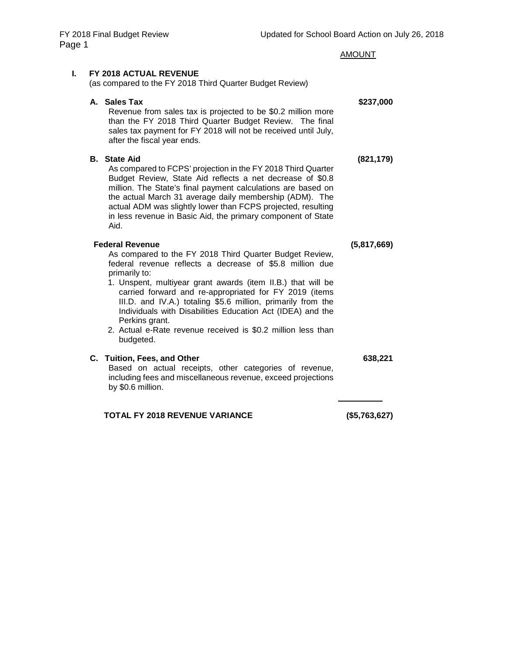| ıge 1 |                                                                                                                                                                                                                                                                                                                                                                                                                                                                                                                       | <b>AMOUNT</b> |
|-------|-----------------------------------------------------------------------------------------------------------------------------------------------------------------------------------------------------------------------------------------------------------------------------------------------------------------------------------------------------------------------------------------------------------------------------------------------------------------------------------------------------------------------|---------------|
| L.    | FY 2018 ACTUAL REVENUE<br>(as compared to the FY 2018 Third Quarter Budget Review)                                                                                                                                                                                                                                                                                                                                                                                                                                    |               |
|       | A. Sales Tax<br>Revenue from sales tax is projected to be \$0.2 million more<br>than the FY 2018 Third Quarter Budget Review. The final<br>sales tax payment for FY 2018 will not be received until July,<br>after the fiscal year ends.                                                                                                                                                                                                                                                                              | \$237,000     |
|       | <b>B.</b> State Aid<br>As compared to FCPS' projection in the FY 2018 Third Quarter<br>Budget Review, State Aid reflects a net decrease of \$0.8<br>million. The State's final payment calculations are based on<br>the actual March 31 average daily membership (ADM). The<br>actual ADM was slightly lower than FCPS projected, resulting<br>in less revenue in Basic Aid, the primary component of State<br>Aid.                                                                                                   | (821, 179)    |
|       | <b>Federal Revenue</b><br>As compared to the FY 2018 Third Quarter Budget Review,<br>federal revenue reflects a decrease of \$5.8 million due<br>primarily to:<br>1. Unspent, multiyear grant awards (item II.B.) that will be<br>carried forward and re-appropriated for FY 2019 (items<br>III.D. and IV.A.) totaling \$5.6 million, primarily from the<br>Individuals with Disabilities Education Act (IDEA) and the<br>Perkins grant.<br>2. Actual e-Rate revenue received is \$0.2 million less than<br>budgeted. | (5,817,669)   |
|       | C. Tuition, Fees, and Other<br>Based on actual receipts, other categories of revenue,<br>including fees and miscellaneous revenue, exceed projections<br>by \$0.6 million.                                                                                                                                                                                                                                                                                                                                            | 638,221       |

# **TOTAL FY 2018 REVENUE VARIANCE (\$5,763,627)**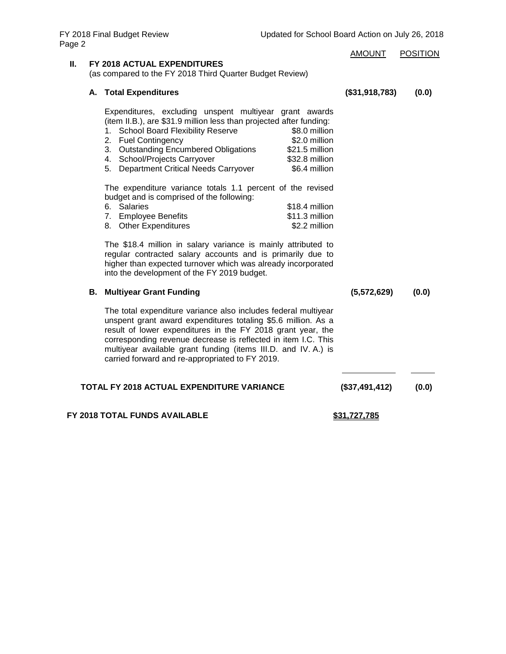|    |                                                                                                                                                                                                                                                                                                                                                                                                       | <b>AMOUNT</b>  | <b>POSITION</b> |
|----|-------------------------------------------------------------------------------------------------------------------------------------------------------------------------------------------------------------------------------------------------------------------------------------------------------------------------------------------------------------------------------------------------------|----------------|-----------------|
| Ш. | FY 2018 ACTUAL EXPENDITURES<br>(as compared to the FY 2018 Third Quarter Budget Review)                                                                                                                                                                                                                                                                                                               |                |                 |
|    | A. Total Expenditures                                                                                                                                                                                                                                                                                                                                                                                 | (\$31,918,783) | (0.0)           |
|    | Expenditures, excluding unspent multiyear grant awards<br>(item II.B.), are \$31.9 million less than projected after funding:<br>\$8.0 million<br>1. School Board Flexibility Reserve<br>2. Fuel Contingency<br>\$2.0 million<br>3. Outstanding Encumbered Obligations<br>\$21.5 million<br>4. School/Projects Carryover<br>\$32.8 million<br>5. Department Critical Needs Carryover<br>\$6.4 million |                |                 |
|    | The expenditure variance totals 1.1 percent of the revised<br>budget and is comprised of the following:<br>6. Salaries<br>\$18.4 million<br>7. Employee Benefits<br>\$11.3 million<br>8. Other Expenditures<br>\$2.2 million                                                                                                                                                                          |                |                 |
|    | The \$18.4 million in salary variance is mainly attributed to<br>regular contracted salary accounts and is primarily due to<br>higher than expected turnover which was already incorporated<br>into the development of the FY 2019 budget.                                                                                                                                                            |                |                 |
|    | <b>B. Multiyear Grant Funding</b>                                                                                                                                                                                                                                                                                                                                                                     | (5,572,629)    | (0.0)           |
|    | The total expenditure variance also includes federal multiyear<br>unspent grant award expenditures totaling \$5.6 million. As a<br>result of lower expenditures in the FY 2018 grant year, the<br>corresponding revenue decrease is reflected in item I.C. This<br>multiyear available grant funding (items III.D. and IV. A.) is<br>carried forward and re-appropriated to FY 2019.                  |                |                 |
|    | <b>TOTAL FY 2018 ACTUAL EXPENDITURE VARIANCE</b>                                                                                                                                                                                                                                                                                                                                                      | (\$37,491,412) | (0.0)           |
|    | FY 2018 TOTAL FUNDS AVAILABLE                                                                                                                                                                                                                                                                                                                                                                         | \$31.727.785   |                 |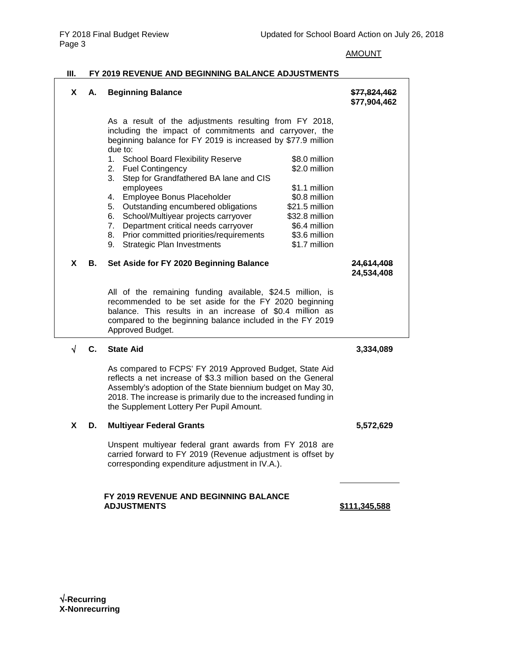### AMOUNT

### **III. FY 2019 REVENUE AND BEGINNING BALANCE ADJUSTMENTS**

| X. | А. | <b>Beginning Balance</b>                                                                                                                                                                                                                                                                                                                                                                                                                                                                                                                                                                                                                                                                                                                                          | \$77,824,462<br>\$77,904,462    |
|----|----|-------------------------------------------------------------------------------------------------------------------------------------------------------------------------------------------------------------------------------------------------------------------------------------------------------------------------------------------------------------------------------------------------------------------------------------------------------------------------------------------------------------------------------------------------------------------------------------------------------------------------------------------------------------------------------------------------------------------------------------------------------------------|---------------------------------|
|    |    | As a result of the adjustments resulting from FY 2018,<br>including the impact of commitments and carryover, the<br>beginning balance for FY 2019 is increased by \$77.9 million<br>due to:<br>1. School Board Flexibility Reserve<br>\$8.0 million<br>\$2.0 million<br><b>Fuel Contingency</b><br>2.<br>3.<br>Step for Grandfathered BA lane and CIS<br>employees<br>\$1.1 million<br>Employee Bonus Placeholder<br>\$0.8 million<br>4.<br>Outstanding encumbered obligations<br>\$21.5 million<br>5.<br>School/Multiyear projects carryover<br>\$32.8 million<br>6.<br>Department critical needs carryover<br>\$6.4 million<br>7.<br>Prior committed priorities/requirements<br>\$3.6 million<br>8.<br>\$1.7 million<br>9.<br><b>Strategic Plan Investments</b> |                                 |
| X  | В. | Set Aside for FY 2020 Beginning Balance                                                                                                                                                                                                                                                                                                                                                                                                                                                                                                                                                                                                                                                                                                                           | <u>24,614,408</u><br>24,534,408 |
|    |    | All of the remaining funding available, \$24.5 million, is<br>recommended to be set aside for the FY 2020 beginning<br>balance. This results in an increase of \$0.4 million as<br>compared to the beginning balance included in the FY 2019<br>Approved Budget.                                                                                                                                                                                                                                                                                                                                                                                                                                                                                                  |                                 |
| √  | C. | <b>State Aid</b>                                                                                                                                                                                                                                                                                                                                                                                                                                                                                                                                                                                                                                                                                                                                                  | 3,334,089                       |
|    |    | As compared to FCPS' FY 2019 Approved Budget, State Aid<br>reflects a net increase of \$3.3 million based on the General<br>Assembly's adoption of the State biennium budget on May 30,<br>2018. The increase is primarily due to the increased funding in<br>the Supplement Lottery Per Pupil Amount.                                                                                                                                                                                                                                                                                                                                                                                                                                                            |                                 |
| X  | D. | <b>Multiyear Federal Grants</b>                                                                                                                                                                                                                                                                                                                                                                                                                                                                                                                                                                                                                                                                                                                                   | 5,572,629                       |
|    |    | Unspent multiyear federal grant awards from FY 2018 are<br>carried forward to FY 2019 (Revenue adjustment is offset by<br>corresponding expenditure adjustment in IV.A.).                                                                                                                                                                                                                                                                                                                                                                                                                                                                                                                                                                                         |                                 |
|    |    | <b>FY 2019 REVENUE AND BEGINNING BALANCE</b>                                                                                                                                                                                                                                                                                                                                                                                                                                                                                                                                                                                                                                                                                                                      |                                 |

**ADJUSTMENTS \$111,345,588**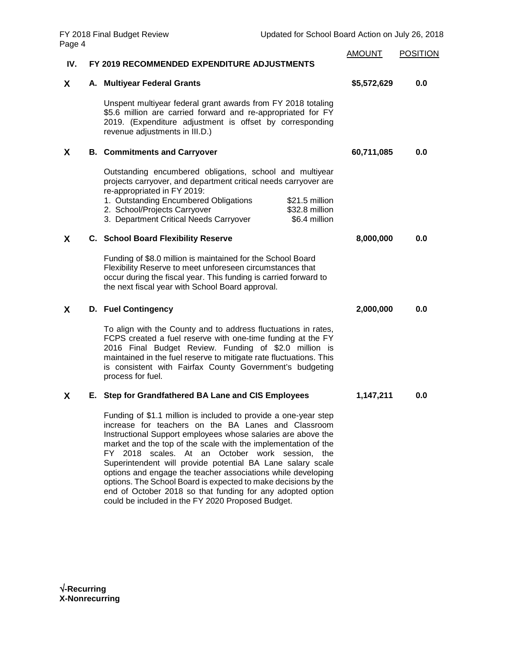|     |                                                                                                                                                                                                                                                                                                                                                                                                                                                                                                             | <b>AMOUNT</b> | <b>POSITION</b> |
|-----|-------------------------------------------------------------------------------------------------------------------------------------------------------------------------------------------------------------------------------------------------------------------------------------------------------------------------------------------------------------------------------------------------------------------------------------------------------------------------------------------------------------|---------------|-----------------|
| IV. | FY 2019 RECOMMENDED EXPENDITURE ADJUSTMENTS                                                                                                                                                                                                                                                                                                                                                                                                                                                                 |               |                 |
| X   | A. Multiyear Federal Grants                                                                                                                                                                                                                                                                                                                                                                                                                                                                                 | \$5,572,629   | 0.0             |
|     | Unspent multiyear federal grant awards from FY 2018 totaling<br>\$5.6 million are carried forward and re-appropriated for FY<br>2019. (Expenditure adjustment is offset by corresponding<br>revenue adjustments in III.D.)                                                                                                                                                                                                                                                                                  |               |                 |
| X   | <b>B. Commitments and Carryover</b>                                                                                                                                                                                                                                                                                                                                                                                                                                                                         | 60,711,085    | 0.0             |
|     | Outstanding encumbered obligations, school and multiyear<br>projects carryover, and department critical needs carryover are<br>re-appropriated in FY 2019:<br>1. Outstanding Encumbered Obligations<br>\$21.5 million<br>2. School/Projects Carryover<br>\$32.8 million<br>3. Department Critical Needs Carryover<br>\$6.4 million                                                                                                                                                                          |               |                 |
| X   | <b>C.</b> School Board Flexibility Reserve                                                                                                                                                                                                                                                                                                                                                                                                                                                                  | 8,000,000     | 0.0             |
|     | Funding of \$8.0 million is maintained for the School Board<br>Flexibility Reserve to meet unforeseen circumstances that<br>occur during the fiscal year. This funding is carried forward to<br>the next fiscal year with School Board approval.                                                                                                                                                                                                                                                            |               |                 |
| X   | <b>D.</b> Fuel Contingency                                                                                                                                                                                                                                                                                                                                                                                                                                                                                  | 2,000,000     | 0.0             |
|     | To align with the County and to address fluctuations in rates,<br>FCPS created a fuel reserve with one-time funding at the FY<br>2016 Final Budget Review. Funding of \$2.0 million is<br>maintained in the fuel reserve to mitigate rate fluctuations. This<br>is consistent with Fairfax County Government's budgeting<br>process for fuel.                                                                                                                                                               |               |                 |
| X   | E. Step for Grandfathered BA Lane and CIS Employees                                                                                                                                                                                                                                                                                                                                                                                                                                                         | 1,147,211     | 0.0             |
|     | Funding of \$1.1 million is included to provide a one-year step<br>increase for teachers on the BA Lanes and Classroom<br>Instructional Support employees whose salaries are above the<br>market and the top of the scale with the implementation of the<br>FY 2018 scales. At an October work session, the<br>Superintendent will provide potential BA Lane salary scale<br>options and engage the teacher associations while developing<br>options. The School Board is expected to make decisions by the |               |                 |

end of October 2018 so that funding for any adopted option

could be included in the FY 2020 Proposed Budget.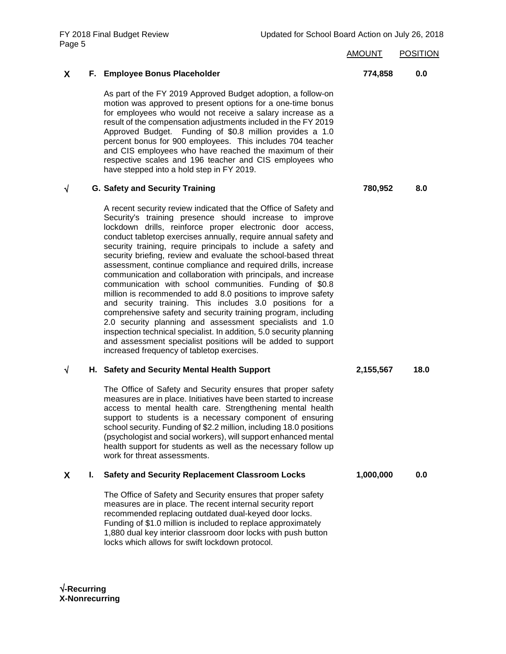| Page 5 |    | FY 2018 Final Budget Review                                                                                                                                                                                                                                                                                                                                                                                                                                                                                                                                                                                                                                                                                                                                                                                                                                                                                                                                                                                                               | Updated for School Board Action on July 26, 2018 |                 |
|--------|----|-------------------------------------------------------------------------------------------------------------------------------------------------------------------------------------------------------------------------------------------------------------------------------------------------------------------------------------------------------------------------------------------------------------------------------------------------------------------------------------------------------------------------------------------------------------------------------------------------------------------------------------------------------------------------------------------------------------------------------------------------------------------------------------------------------------------------------------------------------------------------------------------------------------------------------------------------------------------------------------------------------------------------------------------|--------------------------------------------------|-----------------|
|        |    |                                                                                                                                                                                                                                                                                                                                                                                                                                                                                                                                                                                                                                                                                                                                                                                                                                                                                                                                                                                                                                           | <b>AMOUNT</b>                                    | <b>POSITION</b> |
| X      |    | F. Employee Bonus Placeholder                                                                                                                                                                                                                                                                                                                                                                                                                                                                                                                                                                                                                                                                                                                                                                                                                                                                                                                                                                                                             | 774,858                                          | 0.0             |
|        |    | As part of the FY 2019 Approved Budget adoption, a follow-on<br>motion was approved to present options for a one-time bonus<br>for employees who would not receive a salary increase as a<br>result of the compensation adjustments included in the FY 2019<br>Approved Budget. Funding of \$0.8 million provides a 1.0<br>percent bonus for 900 employees. This includes 704 teacher<br>and CIS employees who have reached the maximum of their<br>respective scales and 196 teacher and CIS employees who<br>have stepped into a hold step in FY 2019.                                                                                                                                                                                                                                                                                                                                                                                                                                                                                  |                                                  |                 |
| V      |    | <b>G. Safety and Security Training</b>                                                                                                                                                                                                                                                                                                                                                                                                                                                                                                                                                                                                                                                                                                                                                                                                                                                                                                                                                                                                    | 780,952                                          | 8.0             |
|        |    | A recent security review indicated that the Office of Safety and<br>Security's training presence should increase to improve<br>lockdown drills, reinforce proper electronic door access,<br>conduct tabletop exercises annually, require annual safety and<br>security training, require principals to include a safety and<br>security briefing, review and evaluate the school-based threat<br>assessment, continue compliance and required drills, increase<br>communication and collaboration with principals, and increase<br>communication with school communities. Funding of \$0.8<br>million is recommended to add 8.0 positions to improve safety<br>and security training. This includes 3.0 positions for a<br>comprehensive safety and security training program, including<br>2.0 security planning and assessment specialists and 1.0<br>inspection technical specialist. In addition, 5.0 security planning<br>and assessment specialist positions will be added to support<br>increased frequency of tabletop exercises. |                                                  |                 |
| √      |    | H. Safety and Security Mental Health Support                                                                                                                                                                                                                                                                                                                                                                                                                                                                                                                                                                                                                                                                                                                                                                                                                                                                                                                                                                                              | 2,155,567                                        | 18.0            |
|        |    | The Office of Safety and Security ensures that proper safety<br>measures are in place. Initiatives have been started to increase<br>access to mental health care. Strengthening mental health<br>support to students is a necessary component of ensuring<br>school security. Funding of \$2.2 million, including 18.0 positions<br>(psychologist and social workers), will support enhanced mental<br>health support for students as well as the necessary follow up<br>work for threat assessments.                                                                                                                                                                                                                                                                                                                                                                                                                                                                                                                                     |                                                  |                 |
| X.     | L. | <b>Safety and Security Replacement Classroom Locks</b>                                                                                                                                                                                                                                                                                                                                                                                                                                                                                                                                                                                                                                                                                                                                                                                                                                                                                                                                                                                    | 1,000,000                                        | 0.0             |
|        |    | The Office of Safety and Security ensures that proper safety<br>measures are in place. The recent internal security report<br>recommended replacing outdated dual-keyed door locks.<br>Funding of \$1.0 million is included to replace approximately<br>1,880 dual key interior classroom door locks with push button                                                                                                                                                                                                                                                                                                                                                                                                                                                                                                                                                                                                                                                                                                                     |                                                  |                 |

locks which allows for swift lockdown protocol.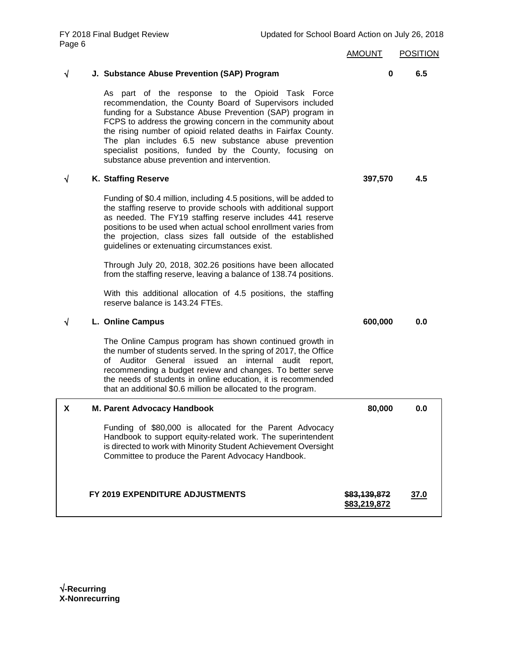| Page 6     |                                                                                                                                                                                                                                                                                                                                                                                                                                                                             | <b>AMOUNT</b>                           | <b>POSITION</b> |
|------------|-----------------------------------------------------------------------------------------------------------------------------------------------------------------------------------------------------------------------------------------------------------------------------------------------------------------------------------------------------------------------------------------------------------------------------------------------------------------------------|-----------------------------------------|-----------------|
| $\sqrt{ }$ | J. Substance Abuse Prevention (SAP) Program                                                                                                                                                                                                                                                                                                                                                                                                                                 | 0                                       | 6.5             |
|            | As part of the response to the Opioid Task Force<br>recommendation, the County Board of Supervisors included<br>funding for a Substance Abuse Prevention (SAP) program in<br>FCPS to address the growing concern in the community about<br>the rising number of opioid related deaths in Fairfax County.<br>The plan includes 6.5 new substance abuse prevention<br>specialist positions, funded by the County, focusing on<br>substance abuse prevention and intervention. |                                         |                 |
| V          | K. Staffing Reserve                                                                                                                                                                                                                                                                                                                                                                                                                                                         | 397,570                                 | 4.5             |
|            | Funding of \$0.4 million, including 4.5 positions, will be added to<br>the staffing reserve to provide schools with additional support<br>as needed. The FY19 staffing reserve includes 441 reserve<br>positions to be used when actual school enrollment varies from<br>the projection, class sizes fall outside of the established<br>guidelines or extenuating circumstances exist.                                                                                      |                                         |                 |
|            | Through July 20, 2018, 302.26 positions have been allocated<br>from the staffing reserve, leaving a balance of 138.74 positions.                                                                                                                                                                                                                                                                                                                                            |                                         |                 |
|            | With this additional allocation of 4.5 positions, the staffing<br>reserve balance is 143.24 FTEs.                                                                                                                                                                                                                                                                                                                                                                           |                                         |                 |
| ٦          | L. Online Campus                                                                                                                                                                                                                                                                                                                                                                                                                                                            | 600,000                                 | 0.0             |
|            | The Online Campus program has shown continued growth in<br>the number of students served. In the spring of 2017, the Office<br>of Auditor General issued an internal audit report,<br>recommending a budget review and changes. To better serve<br>the needs of students in online education, it is recommended<br>that an additional \$0.6 million be allocated to the program.                                                                                            |                                         |                 |
| x          | M. Parent Advocacy Handbook                                                                                                                                                                                                                                                                                                                                                                                                                                                 | 80,000                                  | 0.0             |
|            | Funding of \$80,000 is allocated for the Parent Advocacy<br>Handbook to support equity-related work. The superintendent<br>is directed to work with Minority Student Achievement Oversight<br>Committee to produce the Parent Advocacy Handbook.                                                                                                                                                                                                                            |                                         |                 |
|            | FY 2019 EXPENDITURE ADJUSTMENTS                                                                                                                                                                                                                                                                                                                                                                                                                                             | <del>\$83,139,872</del><br>\$83,219,872 | 37.0            |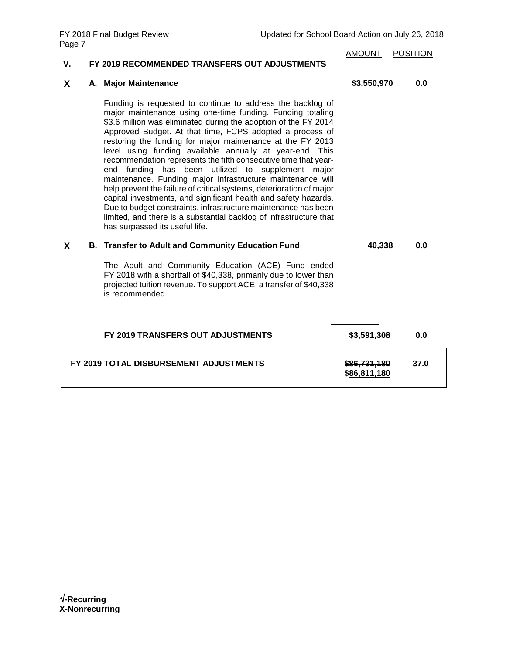| ۷. | FY 2019 RECOMMENDED TRANSFERS OUT ADJUSTMENTS                                                                                                                                                                                                                                                                                                                                                                                                                                                                                                                                                                                                                                                                                                                                                                                                                                                | <b>AMOUNT</b>                | <b>POSITION</b> |
|----|----------------------------------------------------------------------------------------------------------------------------------------------------------------------------------------------------------------------------------------------------------------------------------------------------------------------------------------------------------------------------------------------------------------------------------------------------------------------------------------------------------------------------------------------------------------------------------------------------------------------------------------------------------------------------------------------------------------------------------------------------------------------------------------------------------------------------------------------------------------------------------------------|------------------------------|-----------------|
| X  | A. Major Maintenance                                                                                                                                                                                                                                                                                                                                                                                                                                                                                                                                                                                                                                                                                                                                                                                                                                                                         | \$3,550,970                  | 0.0             |
|    | Funding is requested to continue to address the backlog of<br>major maintenance using one-time funding. Funding totaling<br>\$3.6 million was eliminated during the adoption of the FY 2014<br>Approved Budget. At that time, FCPS adopted a process of<br>restoring the funding for major maintenance at the FY 2013<br>level using funding available annually at year-end. This<br>recommendation represents the fifth consecutive time that year-<br>end funding has been utilized to supplement major<br>maintenance. Funding major infrastructure maintenance will<br>help prevent the failure of critical systems, deterioration of major<br>capital investments, and significant health and safety hazards.<br>Due to budget constraints, infrastructure maintenance has been<br>limited, and there is a substantial backlog of infrastructure that<br>has surpassed its useful life. |                              |                 |
| X  | <b>B. Transfer to Adult and Community Education Fund</b>                                                                                                                                                                                                                                                                                                                                                                                                                                                                                                                                                                                                                                                                                                                                                                                                                                     | 40,338                       | 0.0             |
|    | The Adult and Community Education (ACE) Fund ended<br>FY 2018 with a shortfall of \$40,338, primarily due to lower than<br>projected tuition revenue. To support ACE, a transfer of \$40,338<br>is recommended.                                                                                                                                                                                                                                                                                                                                                                                                                                                                                                                                                                                                                                                                              |                              |                 |
|    | FY 2019 TRANSFERS OUT ADJUSTMENTS                                                                                                                                                                                                                                                                                                                                                                                                                                                                                                                                                                                                                                                                                                                                                                                                                                                            | \$3,591,308                  | 0.0             |
|    | FY 2019 TOTAL DISBURSEMENT ADJUSTMENTS                                                                                                                                                                                                                                                                                                                                                                                                                                                                                                                                                                                                                                                                                                                                                                                                                                                       | \$86,731,180<br>\$86,811,180 | 37.0            |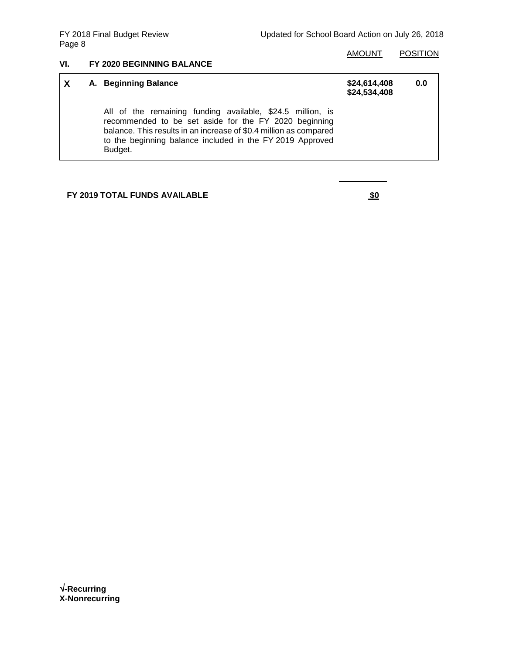### AMOUNT POSITION

### **VI. FY 2020 BEGINNING BALANCE**

| X | A. Beginning Balance                                                                                                                                                                                                                                             | \$24.614.408<br>\$24,534,408 | 0.0 |
|---|------------------------------------------------------------------------------------------------------------------------------------------------------------------------------------------------------------------------------------------------------------------|------------------------------|-----|
|   | All of the remaining funding available, \$24.5 million, is<br>recommended to be set aside for the FY 2020 beginning<br>balance. This results in an increase of \$0.4 million as compared<br>to the beginning balance included in the FY 2019 Approved<br>Budget. |                              |     |

## **FY 2019 TOTAL FUNDS AVAILABLE \$0**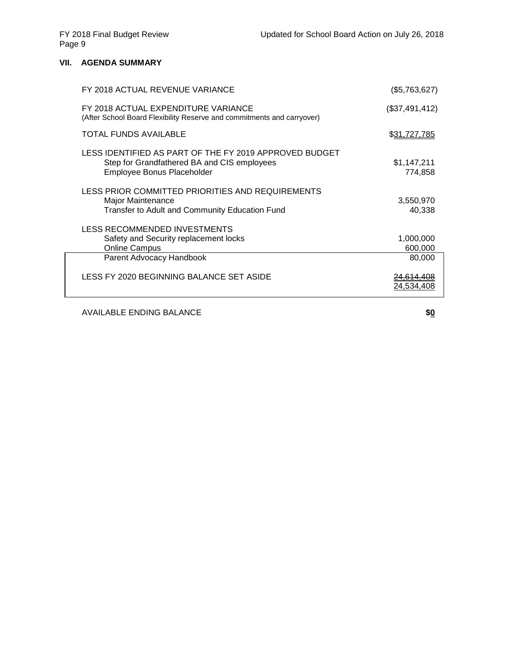### **VII. AGENDA SUMMARY**

| FY 2018 ACTUAL REVENUE VARIANCE                                                                                                     | (\$5,763,627)          |
|-------------------------------------------------------------------------------------------------------------------------------------|------------------------|
| FY 2018 ACTUAL EXPENDITURE VARIANCE<br>(After School Board Flexibility Reserve and commitments and carryover)                       | (\$37,491,412)         |
| <b>TOTAL FUNDS AVAILABLE</b>                                                                                                        | <u>\$31,727,785</u>    |
| LESS IDENTIFIED AS PART OF THE FY 2019 APPROVED BUDGET<br>Step for Grandfathered BA and CIS employees<br>Employee Bonus Placeholder | \$1,147,211<br>774,858 |
| LESS PRIOR COMMITTED PRIORITIES AND REQUIREMENTS<br>Major Maintenance<br>Transfer to Adult and Community Education Fund             | 3,550,970<br>40,338    |
| LESS RECOMMENDED INVESTMENTS<br>Safety and Security replacement locks<br><b>Online Campus</b>                                       | 1,000,000<br>600,000   |
| Parent Advocacy Handbook                                                                                                            | 80,000                 |
| LESS FY 2020 BEGINNING BALANCE SET ASIDE                                                                                            | 24.534,408             |

AVAILABLE ENDING BALANCE **\$0**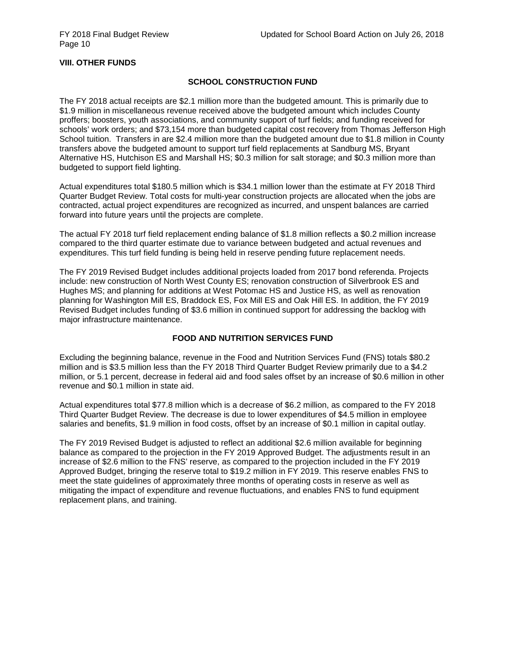### **VIII. OTHER FUNDS**

### **SCHOOL CONSTRUCTION FUND**

The FY 2018 actual receipts are \$2.1 million more than the budgeted amount. This is primarily due to \$1.9 million in miscellaneous revenue received above the budgeted amount which includes County proffers; boosters, youth associations, and community support of turf fields; and funding received for schools' work orders; and \$73,154 more than budgeted capital cost recovery from Thomas Jefferson High School tuition. Transfers in are \$2.4 million more than the budgeted amount due to \$1.8 million in County transfers above the budgeted amount to support turf field replacements at Sandburg MS, Bryant Alternative HS, Hutchison ES and Marshall HS; \$0.3 million for salt storage; and \$0.3 million more than budgeted to support field lighting.

Actual expenditures total \$180.5 million which is \$34.1 million lower than the estimate at FY 2018 Third Quarter Budget Review. Total costs for multi-year construction projects are allocated when the jobs are contracted, actual project expenditures are recognized as incurred, and unspent balances are carried forward into future years until the projects are complete.

The actual FY 2018 turf field replacement ending balance of \$1.8 million reflects a \$0.2 million increase compared to the third quarter estimate due to variance between budgeted and actual revenues and expenditures. This turf field funding is being held in reserve pending future replacement needs.

The FY 2019 Revised Budget includes additional projects loaded from 2017 bond referenda. Projects include: new construction of North West County ES; renovation construction of Silverbrook ES and Hughes MS; and planning for additions at West Potomac HS and Justice HS, as well as renovation planning for Washington Mill ES, Braddock ES, Fox Mill ES and Oak Hill ES. In addition, the FY 2019 Revised Budget includes funding of \$3.6 million in continued support for addressing the backlog with major infrastructure maintenance.

### **FOOD AND NUTRITION SERVICES FUND**

Excluding the beginning balance, revenue in the Food and Nutrition Services Fund (FNS) totals \$80.2 million and is \$3.5 million less than the FY 2018 Third Quarter Budget Review primarily due to a \$4.2 million, or 5.1 percent, decrease in federal aid and food sales offset by an increase of \$0.6 million in other revenue and \$0.1 million in state aid.

Actual expenditures total \$77.8 million which is a decrease of \$6.2 million, as compared to the FY 2018 Third Quarter Budget Review. The decrease is due to lower expenditures of \$4.5 million in employee salaries and benefits, \$1.9 million in food costs, offset by an increase of \$0.1 million in capital outlay.

The FY 2019 Revised Budget is adjusted to reflect an additional \$2.6 million available for beginning balance as compared to the projection in the FY 2019 Approved Budget. The adjustments result in an increase of \$2.6 million to the FNS' reserve, as compared to the projection included in the FY 2019 Approved Budget, bringing the reserve total to \$19.2 million in FY 2019. This reserve enables FNS to meet the state guidelines of approximately three months of operating costs in reserve as well as mitigating the impact of expenditure and revenue fluctuations, and enables FNS to fund equipment replacement plans, and training.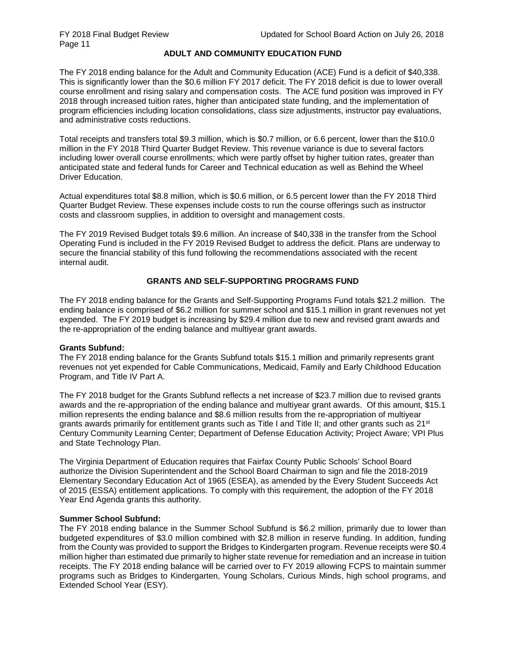### **ADULT AND COMMUNITY EDUCATION FUND**

The FY 2018 ending balance for the Adult and Community Education (ACE) Fund is a deficit of \$40,338. This is significantly lower than the \$0.6 million FY 2017 deficit. The FY 2018 deficit is due to lower overall course enrollment and rising salary and compensation costs. The ACE fund position was improved in FY 2018 through increased tuition rates, higher than anticipated state funding, and the implementation of program efficiencies including location consolidations, class size adjustments, instructor pay evaluations, and administrative costs reductions.

Total receipts and transfers total \$9.3 million, which is \$0.7 million, or 6.6 percent, lower than the \$10.0 million in the FY 2018 Third Quarter Budget Review. This revenue variance is due to several factors including lower overall course enrollments; which were partly offset by higher tuition rates, greater than anticipated state and federal funds for Career and Technical education as well as Behind the Wheel Driver Education.

Actual expenditures total \$8.8 million, which is \$0.6 million, or 6.5 percent lower than the FY 2018 Third Quarter Budget Review. These expenses include costs to run the course offerings such as instructor costs and classroom supplies, in addition to oversight and management costs.

The FY 2019 Revised Budget totals \$9.6 million. An increase of \$40,338 in the transfer from the School Operating Fund is included in the FY 2019 Revised Budget to address the deficit. Plans are underway to secure the financial stability of this fund following the recommendations associated with the recent internal audit.

### **GRANTS AND SELF-SUPPORTING PROGRAMS FUND**

The FY 2018 ending balance for the Grants and Self-Supporting Programs Fund totals \$21.2 million. The ending balance is comprised of \$6.2 million for summer school and \$15.1 million in grant revenues not yet expended. The FY 2019 budget is increasing by \$29.4 million due to new and revised grant awards and the re-appropriation of the ending balance and multiyear grant awards.

### **Grants Subfund:**

The FY 2018 ending balance for the Grants Subfund totals \$15.1 million and primarily represents grant revenues not yet expended for Cable Communications, Medicaid, Family and Early Childhood Education Program, and Title IV Part A.

The FY 2018 budget for the Grants Subfund reflects a net increase of \$23.7 million due to revised grants awards and the re-appropriation of the ending balance and multiyear grant awards. Of this amount, \$15.1 million represents the ending balance and \$8.6 million results from the re-appropriation of multiyear grants awards primarily for entitlement grants such as Title I and Title II; and other grants such as 21<sup>st</sup> Century Community Learning Center; Department of Defense Education Activity; Project Aware; VPI Plus and State Technology Plan.

The Virginia Department of Education requires that Fairfax County Public Schools' School Board authorize the Division Superintendent and the School Board Chairman to sign and file the 2018-2019 Elementary Secondary Education Act of 1965 (ESEA), as amended by the Every Student Succeeds Act of 2015 (ESSA) entitlement applications. To comply with this requirement, the adoption of the FY 2018 Year End Agenda grants this authority.

### **Summer School Subfund:**

The FY 2018 ending balance in the Summer School Subfund is \$6.2 million, primarily due to lower than budgeted expenditures of \$3.0 million combined with \$2.8 million in reserve funding. In addition, funding from the County was provided to support the Bridges to Kindergarten program. Revenue receipts were \$0.4 million higher than estimated due primarily to higher state revenue for remediation and an increase in tuition receipts. The FY 2018 ending balance will be carried over to FY 2019 allowing FCPS to maintain summer programs such as Bridges to Kindergarten, Young Scholars, Curious Minds, high school programs, and Extended School Year (ESY).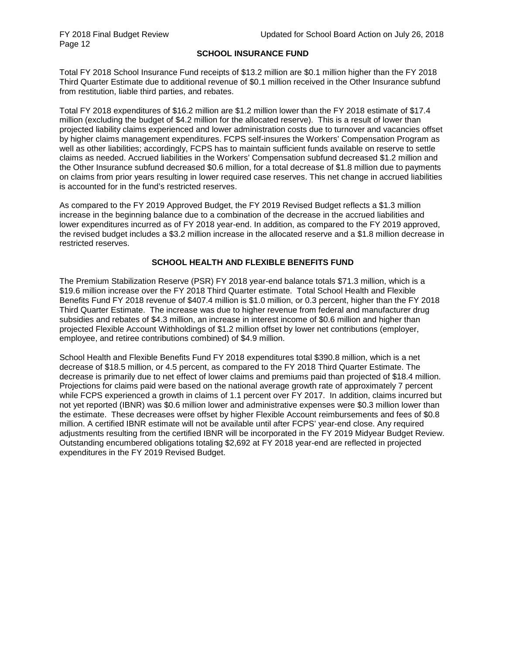### **SCHOOL INSURANCE FUND**

Total FY 2018 School Insurance Fund receipts of \$13.2 million are \$0.1 million higher than the FY 2018 Third Quarter Estimate due to additional revenue of \$0.1 million received in the Other Insurance subfund from restitution, liable third parties, and rebates.

Total FY 2018 expenditures of \$16.2 million are \$1.2 million lower than the FY 2018 estimate of \$17.4 million (excluding the budget of \$4.2 million for the allocated reserve). This is a result of lower than projected liability claims experienced and lower administration costs due to turnover and vacancies offset by higher claims management expenditures. FCPS self-insures the Workers' Compensation Program as well as other liabilities; accordingly, FCPS has to maintain sufficient funds available on reserve to settle claims as needed. Accrued liabilities in the Workers' Compensation subfund decreased \$1.2 million and the Other Insurance subfund decreased \$0.6 million, for a total decrease of \$1.8 million due to payments on claims from prior years resulting in lower required case reserves. This net change in accrued liabilities is accounted for in the fund's restricted reserves.

As compared to the FY 2019 Approved Budget, the FY 2019 Revised Budget reflects a \$1.3 million increase in the beginning balance due to a combination of the decrease in the accrued liabilities and lower expenditures incurred as of FY 2018 year-end. In addition, as compared to the FY 2019 approved, the revised budget includes a \$3.2 million increase in the allocated reserve and a \$1.8 million decrease in restricted reserves.

### **SCHOOL HEALTH AND FLEXIBLE BENEFITS FUND**

The Premium Stabilization Reserve (PSR) FY 2018 year-end balance totals \$71.3 million, which is a \$19.6 million increase over the FY 2018 Third Quarter estimate. Total School Health and Flexible Benefits Fund FY 2018 revenue of \$407.4 million is \$1.0 million, or 0.3 percent, higher than the FY 2018 Third Quarter Estimate. The increase was due to higher revenue from federal and manufacturer drug subsidies and rebates of \$4.3 million, an increase in interest income of \$0.6 million and higher than projected Flexible Account Withholdings of \$1.2 million offset by lower net contributions (employer, employee, and retiree contributions combined) of \$4.9 million.

School Health and Flexible Benefits Fund FY 2018 expenditures total \$390.8 million, which is a net decrease of \$18.5 million, or 4.5 percent, as compared to the FY 2018 Third Quarter Estimate. The decrease is primarily due to net effect of lower claims and premiums paid than projected of \$18.4 million. Projections for claims paid were based on the national average growth rate of approximately 7 percent while FCPS experienced a growth in claims of 1.1 percent over FY 2017. In addition, claims incurred but not yet reported (IBNR) was \$0.6 million lower and administrative expenses were \$0.3 million lower than the estimate. These decreases were offset by higher Flexible Account reimbursements and fees of \$0.8 million. A certified IBNR estimate will not be available until after FCPS' year-end close. Any required adjustments resulting from the certified IBNR will be incorporated in the FY 2019 Midyear Budget Review. Outstanding encumbered obligations totaling \$2,692 at FY 2018 year-end are reflected in projected expenditures in the FY 2019 Revised Budget.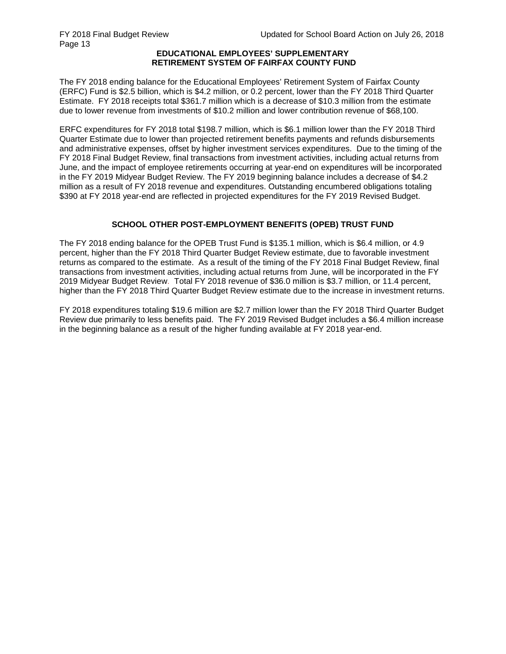#### **EDUCATIONAL EMPLOYEES' SUPPLEMENTARY RETIREMENT SYSTEM OF FAIRFAX COUNTY FUND**

The FY 2018 ending balance for the Educational Employees' Retirement System of Fairfax County (ERFC) Fund is \$2.5 billion, which is \$4.2 million, or 0.2 percent, lower than the FY 2018 Third Quarter Estimate. FY 2018 receipts total \$361.7 million which is a decrease of \$10.3 million from the estimate due to lower revenue from investments of \$10.2 million and lower contribution revenue of \$68,100.

ERFC expenditures for FY 2018 total \$198.7 million, which is \$6.1 million lower than the FY 2018 Third Quarter Estimate due to lower than projected retirement benefits payments and refunds disbursements and administrative expenses, offset by higher investment services expenditures. Due to the timing of the FY 2018 Final Budget Review, final transactions from investment activities, including actual returns from June, and the impact of employee retirements occurring at year-end on expenditures will be incorporated in the FY 2019 Midyear Budget Review. The FY 2019 beginning balance includes a decrease of \$4.2 million as a result of FY 2018 revenue and expenditures. Outstanding encumbered obligations totaling \$390 at FY 2018 year-end are reflected in projected expenditures for the FY 2019 Revised Budget.

### **SCHOOL OTHER POST-EMPLOYMENT BENEFITS (OPEB) TRUST FUND**

The FY 2018 ending balance for the OPEB Trust Fund is \$135.1 million, which is \$6.4 million, or 4.9 percent, higher than the FY 2018 Third Quarter Budget Review estimate, due to favorable investment returns as compared to the estimate. As a result of the timing of the FY 2018 Final Budget Review, final transactions from investment activities, including actual returns from June, will be incorporated in the FY 2019 Midyear Budget Review. Total FY 2018 revenue of \$36.0 million is \$3.7 million, or 11.4 percent, higher than the FY 2018 Third Quarter Budget Review estimate due to the increase in investment returns.

FY 2018 expenditures totaling \$19.6 million are \$2.7 million lower than the FY 2018 Third Quarter Budget Review due primarily to less benefits paid. The FY 2019 Revised Budget includes a \$6.4 million increase in the beginning balance as a result of the higher funding available at FY 2018 year-end.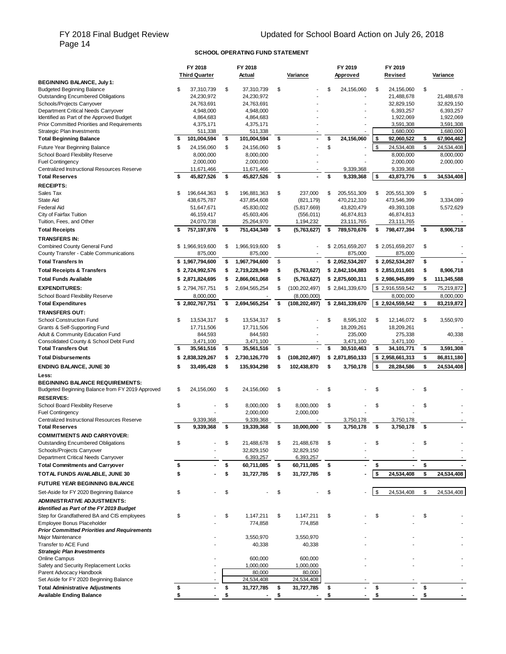# FY 2018 Final Budget Review<br>Page 14

### **SCHOOL OPERATING FUND STATEMENT**

|                                                                                            | FY 2018                       | FY 2018                       |                       | FY 2019           | FY 2019                       |                               |
|--------------------------------------------------------------------------------------------|-------------------------------|-------------------------------|-----------------------|-------------------|-------------------------------|-------------------------------|
|                                                                                            | <b>Third Quarter</b>          | Actual                        | Variance              | Approved          | Revised                       | Variance                      |
| <b>BEGINNING BALANCE, July 1:</b><br><b>Budgeted Beginning Balance</b>                     | \$<br>37,310,739              | \$<br>37,310,739              | \$                    | \$<br>24.156.060  | \$<br>24.156.060              | \$                            |
| <b>Outstanding Encumbered Obligations</b>                                                  | 24,230,972                    | 24,230,972                    |                       |                   | 21,488,678                    | 21,488,678                    |
| Schools/Projects Carryover                                                                 | 24,763,691                    | 24,763,691                    |                       |                   | 32,829,150                    | 32,829,150                    |
| Department Critical Needs Carryover                                                        | 4,948,000                     | 4,948,000                     |                       |                   | 6,393,257                     | 6,393,257                     |
| Identified as Part of the Approved Budget                                                  | 4,864,683                     | 4,864,683                     |                       |                   | 1,922,069                     | 1.922.069                     |
| Prior Committed Priorities and Requirements                                                | 4,375,171                     | 4,375,171                     |                       |                   | 3,591,308                     | 3,591,308                     |
| Strategic Plan Investments                                                                 | \$<br>511,338<br>101,004,594  | \$<br>511,338<br>101,004,594  | \$                    | \$<br>24,156,060  | \$<br>1,680,000<br>92,060,522 | \$<br>1,680,000<br>67,904,462 |
| <b>Total Beginning Balance</b>                                                             |                               |                               |                       |                   |                               |                               |
| Future Year Beginning Balance<br>School Board Flexibility Reserve                          | \$<br>24,156,060<br>8,000,000 | \$<br>24,156,060<br>8,000,000 | \$                    | \$                | \$<br>24,534,408<br>8,000,000 | \$<br>24,534,408<br>8,000,000 |
| <b>Fuel Contingency</b>                                                                    | 2,000,000                     | 2,000,000                     |                       |                   | 2,000,000                     | 2,000,000                     |
| Centralized Instructional Resources Reserve                                                | 11,671,466                    | 11,671,466                    |                       | 9,339,368         | 9,339,368                     |                               |
| <b>Total Reserves</b>                                                                      | \$<br>45,827,526              | \$<br>45,827,526              | \$                    | \$<br>9,339,368   | \$<br>43,873,776              | \$<br>34,534,408              |
| <b>RECEIPTS:</b>                                                                           |                               |                               |                       |                   |                               |                               |
| Sales Tax                                                                                  | \$<br>196,644,363             | \$<br>196,881,363             | \$<br>237,000         | \$<br>205,551,309 | \$<br>205,551,309             | \$                            |
| State Aid                                                                                  | 438,675,787                   | 437,854,608                   | (821, 179)            | 470,212,310       | 473,546,399                   | 3,334,089                     |
| Federal Aid                                                                                | 51,647,671                    | 45,830,002                    | (5,817,669)           | 43,820,479        | 49,393,108                    | 5,572,629                     |
| City of Fairfax Tuition                                                                    | 46,159,417                    | 45,603,406                    | (556, 011)            | 46,874,813        | 46,874,813                    |                               |
| Tuition, Fees, and Other                                                                   | 24,070,738                    | 25,264,970                    | 1,194,232             | 23,111,765        | 23,111,765                    |                               |
| <b>Total Receipts</b>                                                                      | \$<br>757,197,976             | \$<br>751,434,349             | \$<br>(5,763,627)     | \$<br>789,570,676 | \$<br>798,477,394             | \$<br>8,906,718               |
| TRANSFERS IN:                                                                              |                               |                               |                       |                   |                               |                               |
| <b>Combined County General Fund</b>                                                        | \$1,966,919,600               | \$<br>1,966,919,600           | \$                    | \$2,051,659,207   | \$2,051,659,207               | \$                            |
| County Transfer - Cable Communications                                                     | 875,000                       | 875,000                       |                       | 875,000           | 875,000                       |                               |
| <b>Total Transfers In</b>                                                                  | \$1,967,794,600               | \$<br>1,967,794,600           | \$                    | \$2,052,534,207   | \$2,052,534,207               | \$                            |
| <b>Total Receipts &amp; Transfers</b>                                                      | \$2,724,992,576               | \$<br>2.719.228.949           | \$<br>(5,763,627)     | \$2,842,104,883   | \$2,851,011,601               | \$<br>8,906,718               |
| <b>Total Funds Available</b>                                                               | \$2,871,824,695               | \$<br>2,866,061,068           | \$<br>(5,763,627)     | \$2,875,600,311   | \$2,986,945,899               | \$<br>111,345,588             |
| <b>EXPENDITURES:</b>                                                                       | \$2,794,767,751               | \$<br>2,694,565,254           | \$<br>(100, 202, 497) | \$2,841,339,670   | \$2,916,559,542               | \$<br>75,219,872              |
| School Board Flexibility Reserve                                                           | 8,000,000                     |                               | (8,000,000)           |                   | 8,000,000                     | 8,000,000                     |
| <b>Total Expenditures</b>                                                                  | \$2,802,767,751               | \$<br>2,694,565,254           | \$<br>(108, 202, 497) | \$2,841,339,670   | \$2,924,559,542               | \$<br>83,219,872              |
| <b>TRANSFERS OUT:</b>                                                                      |                               |                               |                       |                   |                               |                               |
| <b>School Construction Fund</b>                                                            | \$<br>13,534,317              | \$<br>13,534,317              | \$                    | \$<br>8,595,102   | \$<br>12,146,072              | \$<br>3,550,970               |
| Grants & Self-Supporting Fund                                                              | 17,711,506                    | 17,711,506                    |                       | 18,209,261        | 18,209,261                    |                               |
| Adult & Community Education Fund                                                           | 844,593                       | 844,593                       |                       | 235,000           | 275,338                       | 40,338                        |
| Consolidated County & School Debt Fund                                                     | 3,471,100                     | 3,471,100                     | ÷,                    | 3,471,100         | 3,471,100                     |                               |
| <b>Total Transfers Out</b>                                                                 | \$<br>35,561,516              | \$<br>35,561,516              | \$                    | \$<br>30,510,463  | \$<br>34,101,771              | \$<br>3,591,308               |
| <b>Total Disbursements</b>                                                                 | \$2,838,329,267               | \$<br>2,730,126,770           | \$<br>(108, 202, 497) | \$2,871,850,133   | \$2,958,661,313               | \$<br>86,811,180              |
| <b>ENDING BALANCE, JUNE 30</b>                                                             | \$<br>33,495,428              | \$<br>135,934,298             | \$<br>102,438,870     | \$<br>3,750,178   | \$<br>28,284,586              | \$<br>24,534,408              |
| Less:                                                                                      |                               |                               |                       |                   |                               |                               |
| <b>BEGINNING BALANCE REQUIREMENTS:</b><br>Budgeted Beginning Balance from FY 2019 Approved | \$<br>24,156,060              | \$<br>24,156,060              | \$                    | \$                | \$                            | \$                            |
|                                                                                            |                               |                               |                       |                   |                               |                               |
| <b>RESERVES:</b><br><b>School Board Flexibility Reserve</b>                                | \$                            | \$<br>8,000,000               | \$<br>8.000.000       | \$                | \$                            | \$                            |
| <b>Fuel Contingency</b>                                                                    |                               | 2,000,000                     | 2,000,000             |                   |                               |                               |
| Centralized Instructional Resources Reserve                                                | 9.339.368                     | 9,339,368                     |                       | 3,750,178         | 3,750,178                     |                               |
| <b>Total Reserves</b>                                                                      | \$<br>9,339,368               | \$<br>19,339,368              | \$<br>10,000,000      | \$<br>3,750,178   | \$<br>3,750,178               | \$                            |
| <b>COMMITMENTS AND CARRYOVER:</b>                                                          |                               |                               |                       |                   |                               |                               |
| <b>Outstanding Encumbered Obligations</b>                                                  | \$                            | \$<br>21,488,678              | \$<br>21,488,678      | \$                | \$                            | \$                            |
| Schools/Projects Carryover                                                                 |                               | 32,829,150                    | 32,829,150            |                   |                               |                               |
| Department Critical Needs Carryover                                                        |                               | 6,393,257                     | 6,393,257             |                   |                               |                               |
| <b>Total Commitments and Carryover</b>                                                     | \$                            | \$<br>60,711,085              | \$<br>60,711,085      | \$                | \$                            | \$                            |
| TOTAL FUNDS AVAILABLE, JUNE 30                                                             | \$                            | \$<br>31,727,785              | \$<br>31,727,785      | \$                | \$<br>24,534,408              | \$<br>24,534,408              |
| FUTURE YEAR BEGINNING BALANCE                                                              |                               |                               |                       |                   |                               |                               |
| Set-Aside for FY 2020 Beginning Balance                                                    | \$                            | \$                            | \$                    | \$                | \$<br>24,534,408              | \$<br>24,534,408              |
| ADMINISTRATIVE ADJUSTMENTS:                                                                |                               |                               |                       |                   |                               |                               |
| Identified as Part of the FY 2019 Budget                                                   |                               |                               |                       |                   |                               |                               |
| Step for Grandfathered BA and CIS employees                                                | \$                            | \$<br>1,147,211               | \$<br>1,147,211       | \$                | \$                            | \$                            |
| <b>Employee Bonus Placeholder</b>                                                          |                               | 774,858                       | 774,858               |                   |                               |                               |
| <b>Prior Committed Priorities and Requirements</b>                                         |                               |                               |                       |                   |                               |                               |
| Major Maintenance                                                                          |                               | 3,550,970                     | 3,550,970             |                   |                               |                               |
| Transfer to ACE Fund<br><b>Strategic Plan Investments</b>                                  |                               | 40,338                        | 40,338                |                   |                               |                               |
| <b>Online Campus</b>                                                                       |                               | 600,000                       | 600,000               |                   |                               |                               |
| Safety and Security Replacement Locks                                                      |                               | 1,000,000                     | 1,000,000             |                   |                               |                               |
| Parent Advocacy Handbook                                                                   |                               | 80,000                        | 80,000                |                   |                               |                               |
| Set Aside for FY 2020 Beginning Balance                                                    |                               | 24,534,408                    | 24,534,408            |                   |                               |                               |
| <b>Total Administrative Adjustments</b>                                                    | \$<br>$\blacksquare$          | \$<br>31,727,785              | \$<br>31,727,785      | \$                | \$                            | \$                            |
| Available Ending Balance                                                                   |                               | \$                            | \$                    | \$                | \$                            |                               |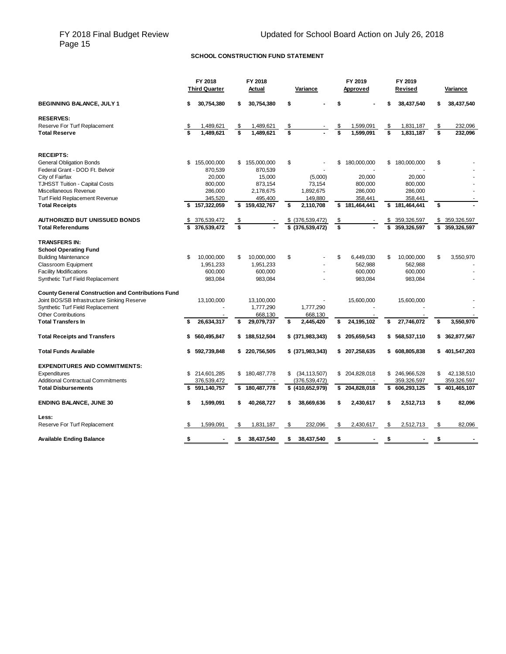### **SCHOOL CONSTRUCTION FUND STATEMENT**

|                                                           | FY 2018 |                      | FY 2018 |               |    |                   | FY 2019 | FY 2019        |                   |      |                |
|-----------------------------------------------------------|---------|----------------------|---------|---------------|----|-------------------|---------|----------------|-------------------|------|----------------|
|                                                           |         | <b>Third Quarter</b> |         | Actual        |    | Variance          |         | Approved       | Revised           |      | Variance       |
| <b>BEGINNING BALANCE, JULY 1</b>                          | \$      | 30,754,380           | \$      | 30,754,380    | \$ |                   | \$      |                | \$<br>38,437,540  | \$   | 38,437,540     |
| <b>RESERVES:</b>                                          |         |                      |         |               |    |                   |         |                |                   |      |                |
| Reserve For Turf Replacement                              |         | 1,489,621            | \$      | 1,489,621     | \$ |                   | \$      | 1,599,091      | \$<br>1,831,187   | -\$  | 232,096        |
| <b>Total Reserve</b>                                      |         | 1.489.621            | \$      | 1.489.621     | \$ |                   | \$      | 1.599.091      | \$<br>1.831.187   | \$   | 232,096        |
| <b>RECEIPTS:</b>                                          |         |                      |         |               |    |                   |         |                |                   |      |                |
| <b>General Obligation Bonds</b>                           | \$      | 155,000,000          | \$      | 155,000,000   | \$ |                   | \$      | 180,000,000    | \$<br>180,000,000 | \$   |                |
| Federal Grant - DOD Ft. Belvoir                           |         | 870,539              |         | 870,539       |    |                   |         |                |                   |      |                |
| City of Fairfax                                           |         | 20.000               |         | 15.000        |    | (5,000)           |         | 20.000         | 20.000            |      |                |
| TJHSST Tuition - Capital Costs                            |         | 800,000              |         | 873,154       |    | 73,154            |         | 800,000        | 800,000           |      |                |
| Miscellaneous Revenue                                     |         | 286,000              |         | 2,178,675     |    | 1,892,675         |         | 286,000        | 286,000           |      |                |
| <b>Turf Field Replacement Revenue</b>                     |         | 345,520              |         | 495,400       |    | 149,880           |         | 358,441        | 358,441           |      |                |
| <b>Total Receipts</b>                                     | \$      | 157,322,059          | \$      | 159,432,767   | \$ | 2,110,708         | \$      | 181,464,441    | \$<br>181,464,441 | \$   |                |
|                                                           |         |                      |         |               |    |                   |         |                |                   |      |                |
| <b>AUTHORIZED BUT UNISSUED BONDS</b>                      | \$      | 376,539,472          | \$      |               |    | \$ (376,539,472)  | \$      |                | \$<br>359,326,597 | \$   | 359,326,597    |
| <b>Total Referendums</b>                                  | £.      | 376,539,472          | Ŝ       |               |    | $$$ (376,539,472) | s       |                | \$<br>359,326,597 | \$   | 359,326,597    |
| <b>TRANSFERS IN:</b>                                      |         |                      |         |               |    |                   |         |                |                   |      |                |
| <b>School Operating Fund</b>                              |         |                      |         |               |    |                   |         |                |                   |      |                |
| <b>Building Maintenance</b>                               | \$      | 10,000,000           | \$      | 10,000,000    | \$ |                   | \$      | 6,449,030      | \$<br>10,000,000  | \$   | 3,550,970      |
| <b>Classroom Equipment</b>                                |         | 1,951,233            |         | 1,951,233     |    |                   |         | 562,988        | 562.988           |      |                |
| <b>Facility Modifications</b>                             |         | 600,000              |         | 600,000       |    |                   |         | 600,000        | 600,000           |      |                |
| Synthetic Turf Field Replacement                          |         | 983,084              |         | 983,084       |    |                   |         | 983,084        | 983,084           |      |                |
|                                                           |         |                      |         |               |    |                   |         |                |                   |      |                |
| <b>County General Construction and Contributions Fund</b> |         |                      |         |               |    |                   |         |                |                   |      |                |
| Joint BOS/SB Infrastructure Sinking Reserve               |         | 13,100,000           |         | 13,100,000    |    |                   |         | 15,600,000     | 15,600,000        |      |                |
| Synthetic Turf Field Replacement                          |         |                      |         | 1,777,290     |    | 1,777,290         |         |                |                   |      |                |
| <b>Other Contributions</b>                                |         |                      |         | 668,130       |    | 668,130           |         |                |                   |      |                |
| <b>Total Transfers In</b>                                 | \$      | 26,634,317           | S       | 29,079,737    | \$ | 2,445,420         | \$      | 24,195,102     | \$<br>27,746,072  | \$   | 3,550,970      |
| <b>Total Receipts and Transfers</b>                       | \$      | 560,495,847          |         | \$188,512,504 |    | $$$ (371,983,343) | \$      | 205,659,543    | \$<br>568,537,110 |      | \$ 362,877,567 |
|                                                           |         |                      |         |               |    |                   |         |                |                   |      |                |
| <b>Total Funds Available</b>                              |         | 592,739,848          |         | \$220,756,505 |    | \$(371,983,343)   | \$      | 207,258,635    | \$<br>608,805,838 |      | \$401,547,203  |
| <b>EXPENDITURES AND COMMITMENTS:</b>                      |         |                      |         |               |    |                   |         |                |                   |      |                |
| Expenditures                                              | \$      | 214,601,285          |         | \$180,487,778 | \$ | (34, 113, 507)    |         | \$ 204,828,018 | \$<br>246,966,528 | \$   | 42,138,510     |
| <b>Additional Contractual Commitments</b>                 |         | 376,539,472          |         |               |    | (376, 539, 472)   |         |                | 359,326,597       |      | 359,326,597    |
| <b>Total Disbursements</b>                                |         | 591,140,757          | \$      | 180,487,778   |    | $$$ (410,652,979) | \$      | 204,828,018    | \$<br>606,293,125 | \$   | 401,465,107    |
| <b>ENDING BALANCE, JUNE 30</b>                            | \$      | 1,599,091            | \$      | 40,268,727    | \$ | 38,669,636        | \$      | 2,430,617      | \$<br>2,512,713   | \$   | 82,096         |
| Less:                                                     |         |                      |         |               |    |                   |         |                |                   |      |                |
| Reserve For Turf Replacement                              | \$      | 1,599,091            | \$      | 1,831,187     | \$ | 232,096           | \$      | 2,430,617      | \$<br>2,512,713   | - \$ | 82,096         |
| <b>Available Ending Balance</b>                           | \$      |                      | \$      | 38,437,540    | \$ | 38,437,540        | \$      |                | \$                | \$   |                |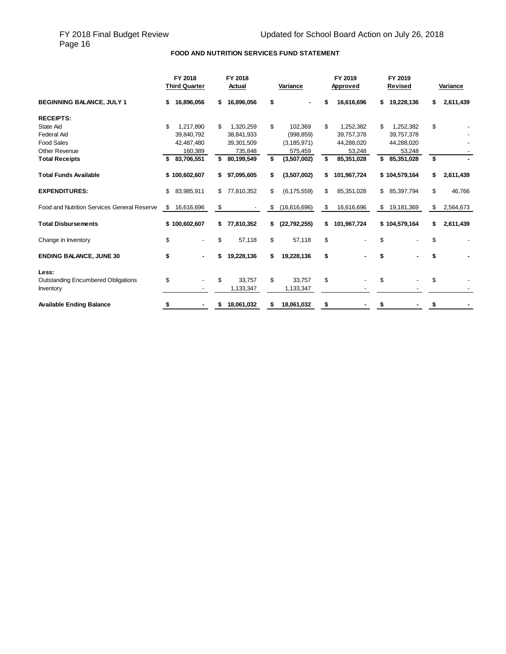# FY 2018 Final Budget Review<br>Page 16

### **FOOD AND NUTRITION SERVICES FUND STATEMENT**

|                                             |    | FY 2018<br>FY 2018<br><b>Third Quarter</b><br>Actual |    |            | Variance | FY 2019<br>Approved | FY 2019<br>Revised |                  | Variance |           |
|---------------------------------------------|----|------------------------------------------------------|----|------------|----------|---------------------|--------------------|------------------|----------|-----------|
| <b>BEGINNING BALANCE, JULY 1</b>            | S  | 16,896,056                                           | \$ | 16,896,056 | \$       |                     | 16,616,696         | \$<br>19,228,136 | S.       | 2,611,439 |
| <b>RECEIPTS:</b>                            |    |                                                      |    |            |          |                     |                    |                  |          |           |
| <b>State Aid</b>                            | \$ | 1,217,890                                            | \$ | 1,320,259  | \$       | 102,369             | \$<br>1,252,382    | \$<br>1,252,382  | \$       |           |
| <b>Federal Aid</b>                          |    | 39,840,792                                           |    | 38,841,933 |          | (998, 859)          | 39,757,378         | 39,757,378       |          |           |
| <b>Food Sales</b>                           |    | 42,487,480                                           |    | 39,301,509 |          | (3, 185, 971)       | 44,288,020         | 44,288,020       |          |           |
| Other Revenue                               |    | 160,389                                              |    | 735,848    |          | 575,459             | 53,248             | 53,248           |          |           |
| <b>Total Receipts</b>                       |    | 83,706,551                                           | \$ | 80,199,549 | \$       | (3,507,002)         | \$<br>85,351,028   | \$<br>85,351,028 | \$       |           |
| <b>Total Funds Available</b>                |    | \$100,602,607                                        | \$ | 97,095,605 | \$.      | (3,507,002)         | \$<br>101,967,724  | \$104,579,164    | \$       | 2,611,439 |
| <b>EXPENDITURES:</b>                        | \$ | 83,985,911                                           | \$ | 77,810,352 | \$       | (6, 175, 559)       | \$<br>85,351,028   | \$<br>85,397,794 | \$       | 46,766    |
| Food and Nutrition Services General Reserve | \$ | 16,616,696                                           | \$ |            | \$       | (16,616,696)        | \$<br>16,616,696   | \$<br>19,181,369 | \$       | 2,564,673 |
| <b>Total Disbursements</b>                  | \$ | 100,602,607                                          | \$ | 77,810,352 | \$       | (22, 792, 255)      | \$<br>101,967,724  | \$104,579,164    | \$       | 2,611,439 |
| Change in Inventory                         | \$ |                                                      | \$ | 57,118     | \$       | 57,118              | \$                 | \$               | \$       |           |
| <b>ENDING BALANCE, JUNE 30</b>              | \$ | ٠                                                    | \$ | 19,228,136 | \$.      | 19,228,136          | \$                 | \$               | \$       |           |
| Less:                                       |    |                                                      |    |            |          |                     |                    |                  |          |           |
| <b>Outstanding Encumbered Obligations</b>   | \$ |                                                      | \$ | 33,757     | \$       | 33,757              | \$                 | \$               | \$       |           |
| Inventory                                   |    |                                                      |    | 1,133,347  |          | 1,133,347           |                    |                  |          |           |
| <b>Available Ending Balance</b>             | \$ | ٠                                                    | S  | 18,061,032 | \$       | 18,061,032          | \$                 | \$               | \$       |           |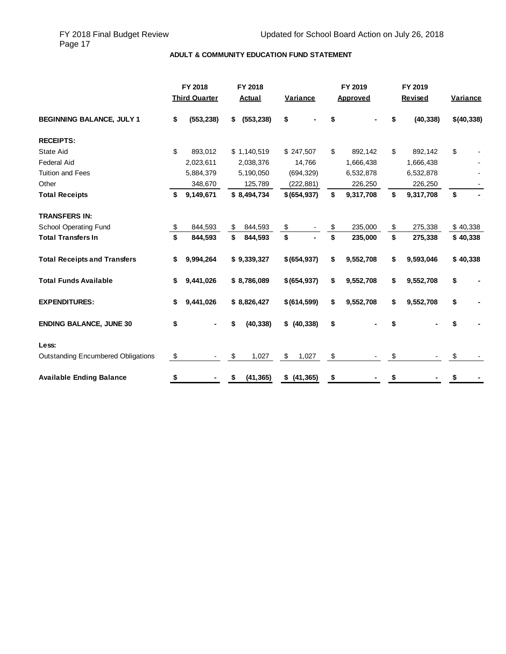$\bar{\gamma}$ 

### **ADULT & COMMUNITY EDUCATION FUND STATEMENT**

|                                           | FY 2018<br>FY 2018 |                      |                  | FY 2019 |               | FY 2019 |           |                 |            |
|-------------------------------------------|--------------------|----------------------|------------------|---------|---------------|---------|-----------|-----------------|------------|
|                                           |                    | <b>Third Quarter</b> | Actual           |         | Variance      |         | Approved  | Revised         | Variance   |
| <b>BEGINNING BALANCE, JULY 1</b>          | \$                 | (553, 238)           | \$<br>(553, 238) | \$      |               |         |           | \$<br>(40, 338) | \$(40,338) |
| <b>RECEIPTS:</b>                          |                    |                      |                  |         |               |         |           |                 |            |
| <b>State Aid</b>                          | \$                 | 893,012              | \$1,140,519      |         | \$247,507     | \$      | 892,142   | \$<br>892.142   | \$         |
| <b>Federal Aid</b>                        |                    | 2,023,611            | 2,038,376        |         | 14,766        |         | 1,666,438 | 1,666,438       |            |
| <b>Tuition and Fees</b>                   |                    | 5,884,379            | 5,190,050        |         | (694, 329)    |         | 6,532,878 | 6,532,878       |            |
| Other                                     |                    | 348,670              | 125,789          |         | (222, 881)    |         | 226,250   | 226,250         |            |
| <b>Total Receipts</b>                     | \$                 | 9,149,671            | \$8,494,734      |         | \$ (654, 937) | \$      | 9,317,708 | \$<br>9,317,708 | \$         |
| <b>TRANSFERS IN:</b>                      |                    |                      |                  |         |               |         |           |                 |            |
| <b>School Operating Fund</b>              | \$                 | 844,593              | \$<br>844,593    | \$      |               |         | 235,000   | \$<br>275,338   | \$40,338   |
| <b>Total Transfers In</b>                 | \$                 | 844,593              | \$<br>844,593    | \$      |               | \$      | 235,000   | \$<br>275,338   | \$40,338   |
| <b>Total Receipts and Transfers</b>       | \$                 | 9,994,264            | \$9,339,327      |         | \$ (654, 937) | \$      | 9,552,708 | \$<br>9,593,046 | \$40,338   |
| <b>Total Funds Available</b>              | \$                 | 9,441,026            | \$8,786,089      |         | \$ (654, 937) | \$      | 9,552,708 | \$<br>9,552,708 | \$         |
| <b>EXPENDITURES:</b>                      | \$                 | 9,441,026            | \$8,826,427      |         | \$ (614, 599) | \$      | 9,552,708 | \$<br>9,552,708 | \$         |
| <b>ENDING BALANCE, JUNE 30</b>            | \$                 |                      | \$<br>(40, 338)  |         | \$ (40, 338)  | \$      |           | \$              | \$         |
| Less:                                     |                    |                      |                  |         |               |         |           |                 |            |
| <b>Outstanding Encumbered Obligations</b> | \$                 |                      | \$<br>1,027      | \$      | 1,027         | \$      |           | \$              | \$         |
| <b>Available Ending Balance</b>           | \$                 |                      | \$<br>(41, 365)  |         | \$ (41, 365)  | \$      |           | \$              | \$         |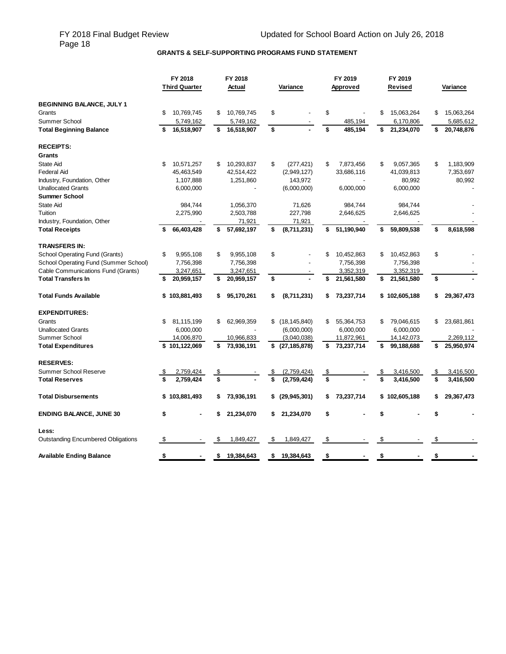# **GRANTS & SELF-SUPPORTING PROGRAMS FUND STATEMENT**

|                                           |    | FY 2018              | FY 2018          |    |                              |           | FY 2019    | FY 2019          |                  |
|-------------------------------------------|----|----------------------|------------------|----|------------------------------|-----------|------------|------------------|------------------|
|                                           |    | <b>Third Quarter</b> | Actual           |    | Variance                     |           | Approved   | Revised          | Variance         |
| <b>BEGINNING BALANCE, JULY 1</b>          |    |                      |                  |    |                              |           |            |                  |                  |
| Grants                                    | \$ | 10,769,745           | \$<br>10,769,745 | \$ |                              | \$        |            | \$<br>15,063,264 | \$<br>15,063,264 |
| Summer School                             |    | 5,749,162            | 5,749,162        |    |                              |           | 485,194    | 6,170,806        | 5,685,612        |
| <b>Total Beginning Balance</b>            | S  | 16,518,907           | \$<br>16,518,907 | \$ |                              | \$        | 485,194    | \$<br>21,234,070 | \$<br>20,748,876 |
| <b>RECEIPTS:</b>                          |    |                      |                  |    |                              |           |            |                  |                  |
| Grants                                    |    |                      |                  |    |                              |           |            |                  |                  |
| State Aid                                 | \$ | 10,571,257           | \$<br>10,293,837 | \$ | (277, 421)                   | \$        | 7,873,456  | \$<br>9,057,365  | \$<br>1,183,909  |
| <b>Federal Aid</b>                        |    | 45,463,549           | 42,514,422       |    | (2,949,127)                  |           | 33,686,116 | 41,039,813       | 7,353,697        |
| Industry, Foundation, Other               |    | 1,107,888            | 1,251,860        |    | 143,972                      |           |            | 80,992           | 80,992           |
| <b>Unallocated Grants</b>                 |    | 6,000,000            |                  |    | (6,000,000)                  |           | 6,000,000  | 6,000,000        |                  |
| Summer School                             |    |                      |                  |    |                              |           |            |                  |                  |
| <b>State Aid</b>                          |    | 984,744              | 1,056,370        |    | 71,626                       |           | 984,744    | 984,744          |                  |
| Tuition                                   |    | 2,275,990            | 2,503,788        |    | 227,798                      |           | 2,646,625  | 2,646,625        |                  |
| Industry, Foundation, Other               |    |                      | 71,921           |    | 71,921                       |           |            |                  |                  |
| <b>Total Receipts</b>                     | \$ | 66,403,428           | \$<br>57,692,197 | \$ | (8,711,231)                  | \$        | 51,190,940 | \$<br>59,809,538 | \$<br>8,618,598  |
|                                           |    |                      |                  |    |                              |           |            |                  |                  |
| <b>TRANSFERS IN:</b>                      |    |                      |                  |    |                              |           |            |                  |                  |
| School Operating Fund (Grants)            | \$ | 9,955,108            | \$<br>9,955,108  | \$ |                              | \$        | 10,452,863 | \$<br>10,452,863 | \$               |
| School Operating Fund (Summer School)     |    | 7,756,398            | 7,756,398        |    |                              |           | 7,756,398  | 7,756,398        |                  |
| Cable Communications Fund (Grants)        |    | 3,247,651            | 3,247,651        |    |                              |           | 3,352,319  | 3,352,319        |                  |
| <b>Total Transfers In</b>                 | \$ | 20,959,157           | \$<br>20,959,157 | \$ |                              | \$        | 21,561,580 | \$<br>21,561,580 | \$               |
| <b>Total Funds Available</b>              | \$ | 103,881,493          | \$<br>95,170,261 | \$ | (8,711,231)                  | \$        | 73,237,714 | \$102,605,188    | \$<br>29,367,473 |
| <b>EXPENDITURES:</b>                      |    |                      |                  |    |                              |           |            |                  |                  |
| Grants                                    | \$ | 81,115,199           | \$<br>62,969,359 | \$ | (18, 145, 840)               | \$        | 55,364,753 | \$<br>79,046,615 | \$<br>23,681,861 |
| <b>Unallocated Grants</b>                 |    | 6,000,000            |                  |    | (6,000,000)                  |           | 6,000,000  | 6,000,000        |                  |
| Summer School                             |    | 14,006,870           | 10,966,833       |    | (3,040,038)                  |           | 11,872,961 | 14,142,073       | 2,269,112        |
| <b>Total Expenditures</b>                 |    | \$101,122,069        | \$<br>73,936,191 |    | $\overline{\$}$ (27,185,878) | \$        | 73,237,714 | \$<br>99,188,688 | \$<br>25,950,974 |
| <b>RESERVES:</b>                          |    |                      |                  |    |                              |           |            |                  |                  |
| Summer School Reserve                     | \$ | 2,759,424            | \$               | \$ | (2,759,424)                  | <u>\$</u> |            | \$<br>3,416,500  | \$<br>3,416,500  |
| <b>Total Reserves</b>                     | \$ | 2,759,424            | \$               | \$ | (2,759,424)                  | \$        |            | \$<br>3,416,500  | \$<br>3,416,500  |
| <b>Total Disbursements</b>                | \$ | 103,881,493          | \$<br>73,936,191 |    | \$ (29, 945, 301)            | \$        | 73,237,714 | \$102,605,188    | \$<br>29,367,473 |
|                                           |    |                      |                  |    |                              |           |            | \$               | \$               |
| <b>ENDING BALANCE, JUNE 30</b>            | \$ |                      | 21,234,070       | S. | 21,234,070                   | \$        |            |                  |                  |
| Less:                                     |    |                      |                  |    |                              |           |            |                  |                  |
| <b>Outstanding Encumbered Obligations</b> | \$ |                      | \$<br>1,849,427  | \$ | 1,849,427                    | \$        |            | \$               | \$               |
| <b>Available Ending Balance</b>           | \$ |                      | \$<br>19,384,643 | \$ | 19,384,643                   | \$        |            | \$               | \$               |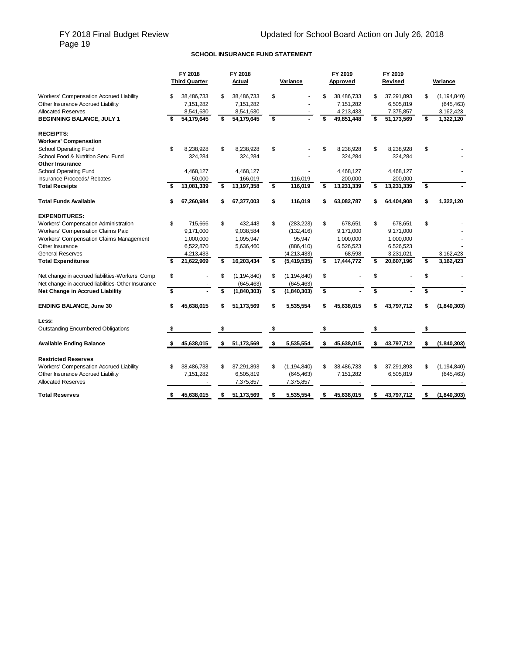# FY 2018 Final Budget Review<br>Page 19

### **SCHOOL INSURANCE FUND STATEMENT**

|                                                                                                           | FY 2018<br><b>Third Quarter</b>            | FY 2018<br>Actual                          | Variance            | FY 2019<br>Approved                        |     | FY 2019<br>Revised                   | <b>Variance</b>                                |
|-----------------------------------------------------------------------------------------------------------|--------------------------------------------|--------------------------------------------|---------------------|--------------------------------------------|-----|--------------------------------------|------------------------------------------------|
| Workers' Compensation Accrued Liability<br>Other Insurance Accrued Liability<br><b>Allocated Reserves</b> | \$<br>38,486,733<br>7,151,282<br>8,541,630 | \$<br>38,486,733<br>7,151,282<br>8,541,630 | \$                  | \$<br>38,486,733<br>7,151,282<br>4,213,433 | \$  | 37,291,893<br>6,505,819<br>7,375,857 | \$<br>(1, 194, 840)<br>(645, 463)<br>3,162,423 |
| <b>BEGINNING BALANCE, JULY 1</b>                                                                          | 54,179,645                                 | \$<br>54,179,645                           | \$                  | \$<br>49,851,448                           | \$  | 51,173,569                           | \$<br>1,322,120                                |
| <b>RECEIPTS:</b>                                                                                          |                                            |                                            |                     |                                            |     |                                      |                                                |
| <b>Workers' Compensation</b>                                                                              |                                            |                                            |                     |                                            |     |                                      |                                                |
| <b>School Operating Fund</b>                                                                              | \$<br>8,238,928                            | \$<br>8,238,928                            | \$                  | \$<br>8,238,928                            | \$  | 8,238,928                            | \$                                             |
| School Food & Nutrition Serv. Fund                                                                        | 324,284                                    | 324,284                                    |                     | 324,284                                    |     | 324,284                              |                                                |
| <b>Other Insurance</b>                                                                                    |                                            |                                            |                     |                                            |     |                                      |                                                |
| School Operating Fund                                                                                     | 4,468,127                                  | 4,468,127                                  |                     | 4,468,127                                  |     | 4,468,127                            |                                                |
| Insurance Proceeds/ Rebates                                                                               | 50,000                                     | 166,019                                    | 116,019             | 200,000                                    |     | 200,000                              |                                                |
| <b>Total Receipts</b>                                                                                     | 13,081,339                                 | \$<br>13,197,358                           | \$<br>116.019       | \$<br>13,231,339                           | \$  | 13,231,339                           | \$                                             |
| <b>Total Funds Available</b>                                                                              | \$<br>67,260,984                           | 67,377,003                                 | \$<br>116,019       | 63,082,787                                 |     | 64,404,908                           | \$<br>1,322,120                                |
| <b>EXPENDITURES:</b>                                                                                      |                                            |                                            |                     |                                            |     |                                      |                                                |
| Workers' Compensation Administration                                                                      | \$<br>715.666                              | \$<br>432.443                              | \$<br>(283, 223)    | \$<br>678.651                              | \$  | 678.651                              | \$                                             |
| Workers' Compensation Claims Paid                                                                         | 9,171,000                                  | 9,038,584                                  | (132, 416)          | 9,171,000                                  |     | 9,171,000                            |                                                |
| Workers' Compensation Claims Management                                                                   | 1,000,000                                  | 1,095,947                                  | 95,947              | 1,000,000                                  |     | 1,000,000                            |                                                |
| Other Insurance                                                                                           | 6,522,870                                  | 5,636,460                                  | (886, 410)          | 6,526,523                                  |     | 6,526,523                            |                                                |
| <b>General Reserves</b>                                                                                   | 4,213,433                                  |                                            | (4,213,433)         | 68,598                                     |     | 3,231,021                            | 3,162,423                                      |
| <b>Total Expenditures</b>                                                                                 | \$<br>21,622,969                           | \$<br>16,203,434                           | \$<br>(5,419,535)   | \$<br>17,444,772                           | \$  | 20,607,196                           | \$<br>3,162,423                                |
| Net change in accrued liabilities-Workers' Comp                                                           | \$                                         | \$<br>(1, 194, 840)                        | \$<br>(1, 194, 840) | \$                                         | \$  |                                      | \$                                             |
| Net change in accrued liabilities-Other Insurance                                                         |                                            | (645, 463)                                 | (645, 463)          |                                            |     |                                      |                                                |
| Net Change in Accrued Liability                                                                           | \$                                         | \$<br>(1,840,303)                          | \$<br>(1,840,303)   | \$                                         | \$  |                                      | \$                                             |
| <b>ENDING BALANCE, June 30</b>                                                                            | \$<br>45,638,015                           | \$<br>51,173,569                           | \$<br>5,535,554     | \$<br>45,638,015                           |     | 43,797,712                           | \$<br>(1,840,303)                              |
| Less:                                                                                                     |                                            |                                            |                     |                                            |     |                                      |                                                |
| <b>Outstanding Encumbered Obligations</b>                                                                 | \$                                         | \$                                         | \$                  | \$                                         | \$  |                                      | \$                                             |
| <b>Available Ending Balance</b>                                                                           | \$<br>45,638,015                           | \$<br>51,173,569                           | \$<br>5,535,554     | \$<br>45,638,015                           | \$  | 43,797,712                           | \$<br>(1,840,303)                              |
| <b>Restricted Reserves</b>                                                                                |                                            |                                            |                     |                                            |     |                                      |                                                |
| Workers' Compensation Accrued Liability                                                                   | \$<br>38,486,733                           | \$<br>37,291,893                           | \$<br>(1, 194, 840) | \$<br>38,486,733                           | \$  | 37,291,893                           | \$<br>(1, 194, 840)                            |
| Other Insurance Accrued Liability                                                                         | 7,151,282                                  | 6,505,819                                  | (645, 463)          | 7,151,282                                  |     | 6,505,819                            | (645, 463)                                     |
| <b>Allocated Reserves</b>                                                                                 |                                            | 7,375,857                                  | 7,375,857           |                                            |     |                                      |                                                |
| <b>Total Reserves</b>                                                                                     | \$<br>45.638.015                           | \$<br>51.173.569                           | \$<br>5.535.554     | \$<br>45.638.015                           | \$. | 43.797.712                           | \$<br>(1,840,303)                              |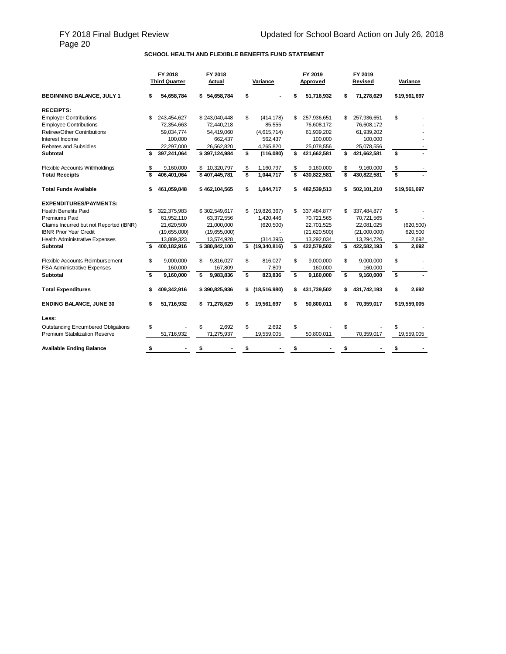# FY 2018 Final Budget Review<br>Page 20

#### **SCHOOL HEALTH AND FLEXIBLE BENEFITS FUND STATEMENT**

|                                           | FY 2018<br><b>Third Quarter</b> | FY 2018<br>Actual |    | Variance       |    | FY 2019<br>Approved | FY 2019<br>Revised | Variance     |
|-------------------------------------------|---------------------------------|-------------------|----|----------------|----|---------------------|--------------------|--------------|
| BEGINNING BALANCE, JULY 1                 | \$<br>54,658,784                | \$54,658,784      | \$ |                | \$ | 51,716,932          | \$<br>71,278,629   | \$19,561,697 |
| <b>RECEIPTS:</b>                          |                                 |                   |    |                |    |                     |                    |              |
| <b>Employer Contributions</b>             | \$<br>243,454,627               | \$243,040,448     | \$ | (414, 178)     | \$ | 257,936,651         | \$<br>257,936,651  | \$           |
| <b>Employee Contributions</b>             | 72,354,663                      | 72,440,218        |    | 85,555         |    | 76,608,172          | 76,608,172         |              |
| <b>Retiree/Other Contributions</b>        | 59,034,774                      | 54,419,060        |    | (4,615,714)    |    | 61,939,202          | 61,939,202         |              |
| Interest Income                           | 100,000                         | 662,437           |    | 562,437        |    | 100,000             | 100,000            |              |
| <b>Rebates and Subsidies</b>              | 22,297,000                      | 26,562,820        |    | 4,265,820      |    | 25,078,556          | 25,078,556         |              |
| Subtotal                                  | \$<br>397,241,064               | \$397,124,984     | \$ | (116,080)      | \$ | 421,662,581         | \$<br>421,662,581  | \$           |
| Flexible Accounts Withholdings            | \$<br>9,160,000                 | \$10,320,797      | \$ | 1,160,797      | \$ | 9,160,000           | \$<br>9,160,000    | \$           |
| <b>Total Receipts</b>                     | 406.401.064                     | \$407,445,781     | \$ | 1,044,717      | \$ | 430,822,581         | \$<br>430,822,581  | \$           |
| Total Funds Available                     | \$<br>461,059,848               | \$462,104,565     | s  | 1,044,717      |    | 482,539,513         | \$<br>502,101,210  | \$19,561,697 |
| <b>EXPENDITURES/PAYMENTS:</b>             |                                 |                   |    |                |    |                     |                    |              |
| <b>Health Benefits Paid</b>               | \$<br>322,375,983               | \$302,549,617     | \$ | (19, 826, 367) | \$ | 337,484,877         | \$<br>337,484,877  | \$           |
| Premiums Paid                             | 61,952,110                      | 63,372,556        |    | 1,420,446      |    | 70,721,565          | 70,721,565         |              |
| Claims Incurred but not Reported (IBNR)   | 21,620,500                      | 21,000,000        |    | (620, 500)     |    | 22,701,525          | 22,081,025         | (620, 500)   |
| <b>IBNR Prior Year Credit</b>             | (19,655,000)                    | (19,655,000)      |    |                |    | (21,620,500)        | (21,000,000)       | 620,500      |
| <b>Health Administrative Expenses</b>     | 13,889,323                      | 13,574,928        |    | (314, 395)     |    | 13,292,034          | 13,294,726         | 2,692        |
| <b>Subtotal</b>                           | \$<br>400,182,916               | \$380,842,100     | \$ | (19,340,816)   | \$ | 422,579,502         | \$<br>422,582,193  | \$<br>2,692  |
| Flexible Accounts Reimbursement           | \$<br>9,000,000                 | \$<br>9,816,027   | \$ | 816,027        | \$ | 9,000,000           | \$<br>9,000,000    | \$           |
| <b>FSA Administrative Expenses</b>        | 160,000                         | 167,809           |    | 7,809          |    | 160,000             | 160,000            |              |
| Subtotal                                  | \$<br>9,160,000                 | \$<br>9,983,836   | \$ | 823,836        | \$ | 9,160,000           | \$<br>9,160,000    | \$           |
| <b>Total Expenditures</b>                 | \$<br>409,342,916               | \$390,825,936     | \$ | (18,516,980)   | \$ | 431,739,502         | \$<br>431,742,193  | \$<br>2,692  |
| <b>ENDING BALANCE, JUNE 30</b>            | \$<br>51,716,932                | \$71,278,629      | \$ | 19,561,697     | S  | 50,800,011          | \$<br>70,359,017   | \$19,559,005 |
| Less:                                     |                                 |                   |    |                |    |                     |                    |              |
| <b>Outstanding Encumbered Obligations</b> | \$                              | \$<br>2.692       | \$ | 2.692          | \$ |                     | \$                 | \$           |
| <b>Premium Stabilization Reserve</b>      | 51,716,932                      | 71,275,937        |    | 19,559,005     |    | 50,800,011          | 70,359,017         | 19,559,005   |
| <b>Available Ending Balance</b>           | \$                              |                   |    |                |    |                     |                    |              |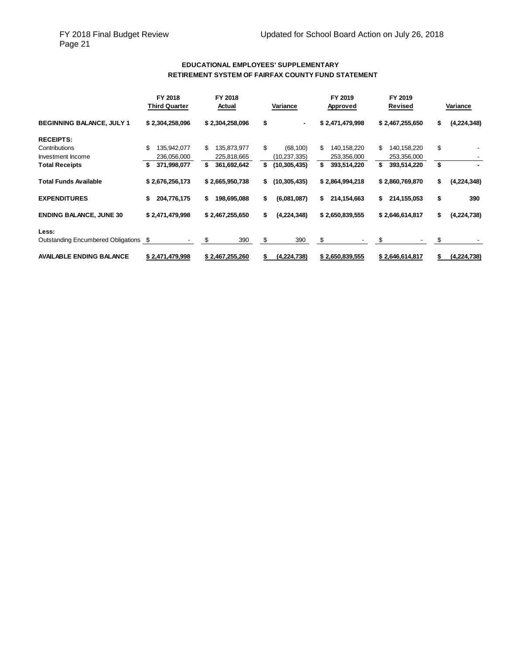### **EDUCATIONAL EMPLOYEES' SUPPLEMENTARY RETIREMENT SYSTEM OF FAIRFAX COUNTY FUND STATEMENT**

|                                       | FY 2018<br>Third Quarter | FY 2018<br>Actual | Variance             | FY 2019<br>Approved | FY 2019<br>Revised     | Variance          |
|---------------------------------------|--------------------------|-------------------|----------------------|---------------------|------------------------|-------------------|
| <b>BEGINNING BALANCE, JULY 1</b>      | \$2,304,258,096          | \$2,304,258,096   | \$<br>$\blacksquare$ | \$2,471,479,998     | \$2,467,255,650        | (4,224,348)<br>\$ |
| <b>RECEIPTS:</b>                      |                          |                   |                      |                     |                        |                   |
| Contributions                         | \$<br>135,942,077        | \$<br>135,873,977 | \$<br>(68, 100)      | \$<br>140,158,220   | \$<br>140,158,220      | \$                |
| Investment Income                     | 236.056.000              | 225,818,665       | (10,237,335)         | 253,356,000         | 253,356,000            |                   |
| <b>Total Receipts</b>                 | 371,998,077<br>5         | \$<br>361,692,642 | \$<br>(10, 305, 435) | \$<br>393,514,220   | \$<br>393,514,220      | \$                |
| <b>Total Funds Available</b>          | \$2,676,256,173          | \$2,665,950,738   | (10, 305, 435)<br>\$ | \$2,864,994,218     | \$2,860,769,870        | \$<br>(4,224,348) |
| <b>EXPENDITURES</b>                   | \$<br>204,776,175        | \$<br>198,695,088 | \$<br>(6,081,087)    | \$<br>214,154,663   | \$<br>214,155,053      | \$<br>390         |
| <b>ENDING BALANCE, JUNE 30</b>        | \$2,471,479,998          | \$2,467,255,650   | \$<br>(4,224,348)    | \$2,650,839,555     | \$2,646,614,817        | (4,224,738)<br>\$ |
| Less:                                 |                          |                   |                      |                     |                        |                   |
| Outstanding Encumbered Obligations \$ |                          | \$<br>390         | \$<br>390            | \$                  | \$                     | \$                |
| <b>AVAILABLE ENDING BALANCE</b>       | \$2,471,479,998          | \$2,467,255,260   | <u>(4,224,738)</u>   | \$2,650,839,555     | <u>\$2,646,614,817</u> | (4,224,738)       |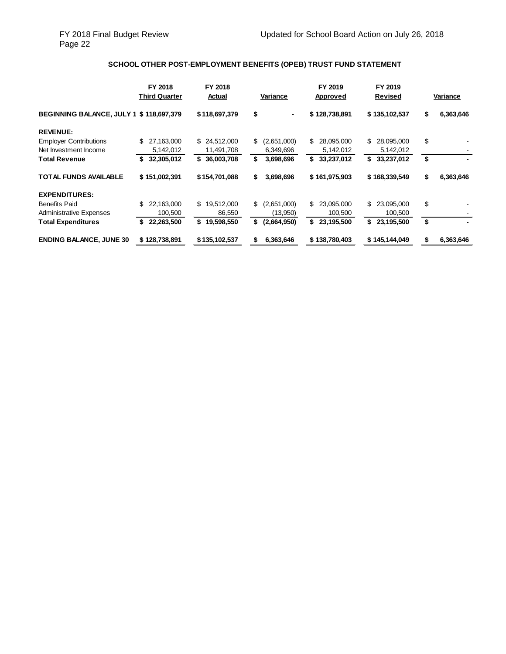### **SCHOOL OTHER POST-EMPLOYMENT BENEFITS (OPEB) TRUST FUND STATEMENT**

|                                                 | FY 2018<br><b>Third Quarter</b> | FY 2018<br>Actual | Variance          | FY 2019<br>Approved | FY 2019<br>Revised | Variance        |
|-------------------------------------------------|---------------------------------|-------------------|-------------------|---------------------|--------------------|-----------------|
| <b>BEGINNING BALANCE, JULY 1 \$ 118,697,379</b> |                                 | \$118,697,379     | \$<br>۰.          | \$128,738,891       | \$135,102,537      | 6,363,646<br>\$ |
| <b>REVENUE:</b>                                 |                                 |                   |                   |                     |                    |                 |
| <b>Employer Contributions</b>                   | \$.<br>27,163,000               | \$ 24,512,000     | \$<br>(2,651,000) | \$<br>28,095,000    | 28,095,000<br>\$   | \$              |
| Net Investment Income                           | 5,142,012                       | 11,491,708        | 6,349,696         | 5,142,012           | 5,142,012          |                 |
| <b>Total Revenue</b>                            | 32,305,012                      | 36,003,708<br>\$  | \$<br>3,698,696   | 33,237,012<br>\$    | \$<br>33,237,012   | \$              |
| <b>TOTAL FUNDS AVAILABLE</b>                    | \$151,002,391                   | \$154,701,088     | 3,698,696<br>S    | \$161,975,903       | \$168,339,549      | \$<br>6,363,646 |
| <b>EXPENDITURES:</b>                            |                                 |                   |                   |                     |                    |                 |
| <b>Benefits Paid</b>                            | \$<br>22,163,000                | \$<br>19,512,000  | \$<br>(2,651,000) | S.<br>23,095,000    | 23,095,000<br>S.   | \$              |
| <b>Administrative Expenses</b>                  | 100,500                         | 86,550            | (13,950)          | 100,500             | 100,500            |                 |
| <b>Total Expenditures</b>                       | 22,263,500                      | S.<br>19,598,550  | \$<br>(2,664,950) | \$<br>23,195,500    | \$<br>23,195,500   | \$              |
| <b>ENDING BALANCE, JUNE 30</b>                  | \$128,738,891                   | \$135,102,537     | 6,363,646<br>S    | \$138,780,403       | \$145,144,049      | 6,363,646<br>S  |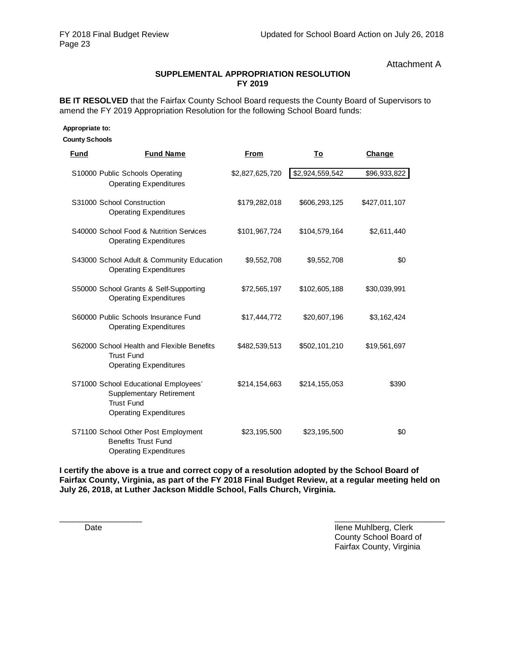Attachment A

### **SUPPLEMENTAL APPROPRIATION RESOLUTION FY 2019**

**BE IT RESOLVED** that the Fairfax County School Board requests the County Board of Supervisors to amend the FY 2019 Appropriation Resolution for the following School Board funds:

 **Appropriate to:**

 **County Schools**

| <b>Fund</b> | <b>Fund Name</b>                                                                                                              | From            | To              | Change        |
|-------------|-------------------------------------------------------------------------------------------------------------------------------|-----------------|-----------------|---------------|
|             | S10000 Public Schools Operating<br><b>Operating Expenditures</b>                                                              | \$2,827,625,720 | \$2,924,559,542 | \$96,933,822  |
|             | S31000 School Construction<br><b>Operating Expenditures</b>                                                                   | \$179,282,018   | \$606,293,125   | \$427,011,107 |
|             | S40000 School Food & Nutrition Services<br><b>Operating Expenditures</b>                                                      | \$101,967,724   | \$104,579,164   | \$2,611,440   |
|             | S43000 School Adult & Community Education<br><b>Operating Expenditures</b>                                                    | \$9,552,708     | \$9,552,708     | \$0           |
|             | S50000 School Grants & Self-Supporting<br><b>Operating Expenditures</b>                                                       | \$72,565,197    | \$102,605,188   | \$30,039,991  |
|             | S60000 Public Schools Insurance Fund<br><b>Operating Expenditures</b>                                                         | \$17,444,772    | \$20,607,196    | \$3,162,424   |
|             | S62000 School Health and Flexible Benefits<br><b>Trust Fund</b><br><b>Operating Expenditures</b>                              | \$482,539,513   | \$502,101,210   | \$19,561,697  |
|             | S71000 School Educational Employees'<br><b>Supplementary Retirement</b><br><b>Trust Fund</b><br><b>Operating Expenditures</b> | \$214,154,663   | \$214,155,053   | \$390         |
|             | S71100 School Other Post Employment<br><b>Benefits Trust Fund</b><br><b>Operating Expenditures</b>                            | \$23,195,500    | \$23,195,500    | \$0           |

**I certify the above is a true and correct copy of a resolution adopted by the School Board of Fairfax County, Virginia, as part of the FY 2018 Final Budget Review, at a regular meeting held on July 26, 2018, at Luther Jackson Middle School, Falls Church, Virginia.**

 $\frac{1}{2}$  ,  $\frac{1}{2}$  ,  $\frac{1}{2}$  ,  $\frac{1}{2}$  ,  $\frac{1}{2}$  ,  $\frac{1}{2}$  ,  $\frac{1}{2}$  ,  $\frac{1}{2}$  ,  $\frac{1}{2}$  ,  $\frac{1}{2}$  ,  $\frac{1}{2}$  ,  $\frac{1}{2}$  ,  $\frac{1}{2}$  ,  $\frac{1}{2}$  ,  $\frac{1}{2}$  ,  $\frac{1}{2}$  ,  $\frac{1}{2}$  ,  $\frac{1}{2}$  ,  $\frac{1$ Date **Ilene Muhlberg, Clerk** County School Board of Fairfax County, Virginia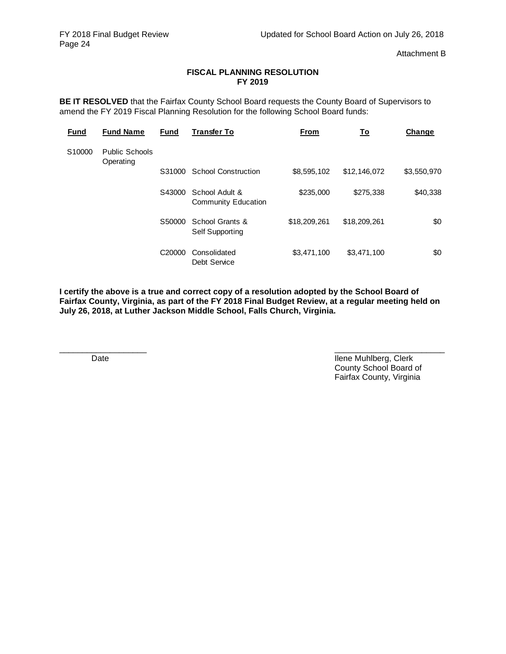Attachment B

### **FISCAL PLANNING RESOLUTION FY 2019**

**BE IT RESOLVED** that the Fairfax County School Board requests the County Board of Supervisors to amend the FY 2019 Fiscal Planning Resolution for the following School Board funds:

| <b>Fund</b> | <b>Fund Name</b>                   | <b>Fund</b>        | <b>Transfer To</b>                           | From         | <u>To</u>    | Change      |
|-------------|------------------------------------|--------------------|----------------------------------------------|--------------|--------------|-------------|
| S10000      | <b>Public Schools</b><br>Operating |                    |                                              |              |              |             |
|             |                                    | S31000             | <b>School Construction</b>                   | \$8,595,102  | \$12,146,072 | \$3,550,970 |
|             |                                    | S43000             | School Adult &<br><b>Community Education</b> | \$235,000    | \$275,338    | \$40,338    |
|             |                                    | S50000             | School Grants &<br><b>Self Supporting</b>    | \$18,209,261 | \$18,209,261 | \$0         |
|             |                                    | C <sub>20000</sub> | Consolidated<br><b>Debt Service</b>          | \$3,471,100  | \$3,471,100  | \$0         |

**I certify the above is a true and correct copy of a resolution adopted by the School Board of Fairfax County, Virginia, as part of the FY 2018 Final Budget Review, at a regular meeting held on July 26, 2018, at Luther Jackson Middle School, Falls Church, Virginia.**

\_\_\_\_\_\_\_\_\_\_\_\_\_\_\_\_\_\_\_ \_\_\_\_\_\_\_\_\_\_\_\_\_\_\_\_\_\_\_\_\_\_\_\_ Date **Ilene Muhlberg, Clerk** County School Board of Fairfax County, Virginia